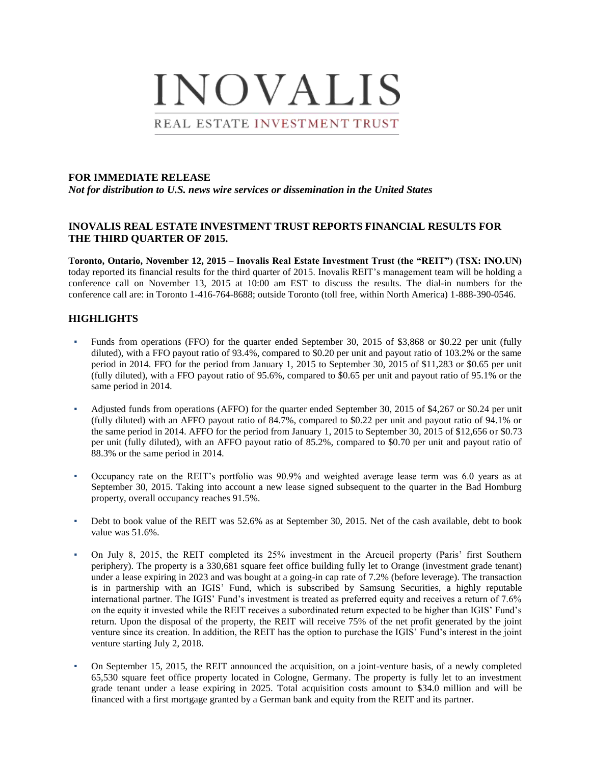

#### **FOR IMMEDIATE RELEASE**

*Not for distribution to U.S. news wire services or dissemination in the United States*

#### **INOVALIS REAL ESTATE INVESTMENT TRUST REPORTS FINANCIAL RESULTS FOR THE THIRD QUARTER OF 2015.**

**Toronto, Ontario, November 12, 2015** – **Inovalis Real Estate Investment Trust (the "REIT") (TSX: INO.UN)**  today reported its financial results for the third quarter of 2015. Inovalis REIT's management team will be holding a conference call on November 13, 2015 at 10:00 am EST to discuss the results. The dial-in numbers for the conference call are: in Toronto 1-416-764-8688; outside Toronto (toll free, within North America) 1-888-390-0546.

### **HIGHLIGHTS**

- Funds from operations (FFO) for the quarter ended September 30, 2015 of \$3,868 or \$0.22 per unit (fully diluted), with a FFO payout ratio of 93.4%, compared to \$0.20 per unit and payout ratio of 103.2% or the same period in 2014. FFO for the period from January 1, 2015 to September 30, 2015 of \$11,283 or \$0.65 per unit (fully diluted), with a FFO payout ratio of 95.6%, compared to \$0.65 per unit and payout ratio of 95.1% or the same period in 2014.
- Adjusted funds from operations (AFFO) for the quarter ended September 30, 2015 of \$4,267 or \$0.24 per unit (fully diluted) with an AFFO payout ratio of 84.7%, compared to \$0.22 per unit and payout ratio of 94.1% or the same period in 2014. AFFO for the period from January 1, 2015 to September 30, 2015 of \$12,656 or \$0.73 per unit (fully diluted), with an AFFO payout ratio of 85.2%, compared to \$0.70 per unit and payout ratio of 88.3% or the same period in 2014.
- Occupancy rate on the REIT's portfolio was 90.9% and weighted average lease term was 6.0 years as at September 30, 2015. Taking into account a new lease signed subsequent to the quarter in the Bad Homburg property, overall occupancy reaches 91.5%.
- Debt to book value of the REIT was 52.6% as at September 30, 2015. Net of the cash available, debt to book value was 51.6%.
- On July 8, 2015, the REIT completed its 25% investment in the Arcueil property (Paris' first Southern periphery). The property is a 330,681 square feet office building fully let to Orange (investment grade tenant) under a lease expiring in 2023 and was bought at a going-in cap rate of 7.2% (before leverage). The transaction is in partnership with an IGIS' Fund, which is subscribed by Samsung Securities, a highly reputable international partner. The IGIS' Fund's investment is treated as preferred equity and receives a return of 7.6% on the equity it invested while the REIT receives a subordinated return expected to be higher than IGIS' Fund's return. Upon the disposal of the property, the REIT will receive 75% of the net profit generated by the joint venture since its creation. In addition, the REIT has the option to purchase the IGIS' Fund's interest in the joint venture starting July 2, 2018.
- On September 15, 2015, the REIT announced the acquisition, on a joint-venture basis, of a newly completed 65,530 square feet office property located in Cologne, Germany. The property is fully let to an investment grade tenant under a lease expiring in 2025. Total acquisition costs amount to \$34.0 million and will be financed with a first mortgage granted by a German bank and equity from the REIT and its partner.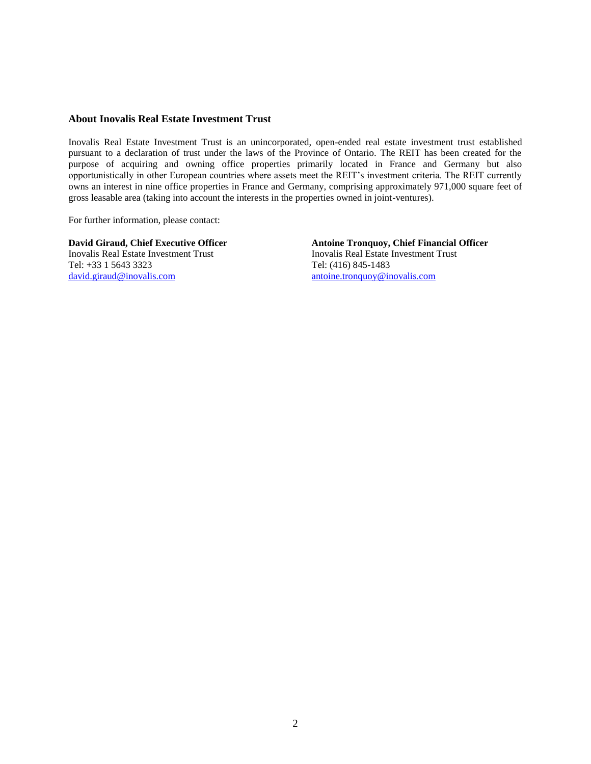#### **About Inovalis Real Estate Investment Trust**

Inovalis Real Estate Investment Trust is an unincorporated, open-ended real estate investment trust established pursuant to a declaration of trust under the laws of the Province of Ontario. The REIT has been created for the purpose of acquiring and owning office properties primarily located in France and Germany but also opportunistically in other European countries where assets meet the REIT's investment criteria. The REIT currently owns an interest in nine office properties in France and Germany, comprising approximately 971,000 square feet of gross leasable area (taking into account the interests in the properties owned in joint-ventures).

For further information, please contact:

Inovalis Real Estate Investment Trust Inovalis Real Estate Investment Trust Tel: +33 1 5643 3323<br>
david.giraud@inovalis.com antoine.tronquoy@ir

**David Giraud, Chief Executive Officer Antoine Tronquoy, Chief Financial Officer** [antoine.tronquoy@inovalis.com](mailto:antoine.tronquoy@inovalis.com)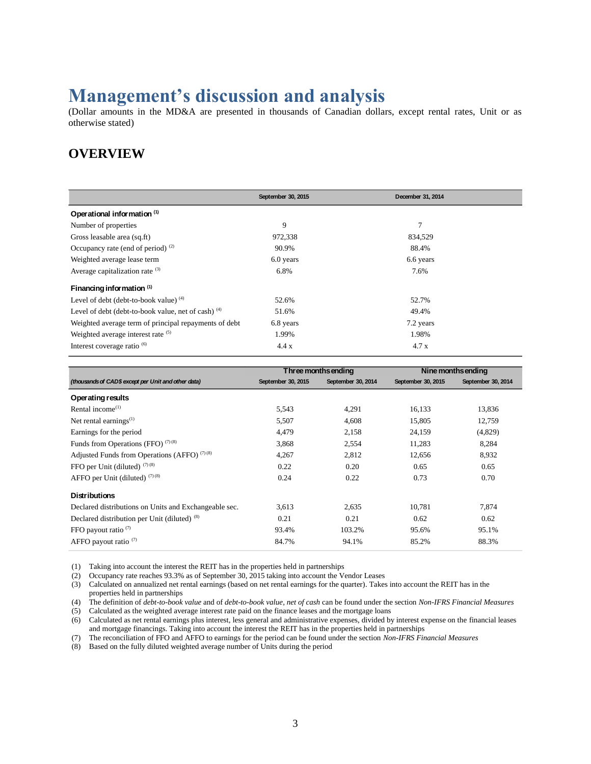# **Management's discussion and analysis**

(Dollar amounts in the MD&A are presented in thousands of Canadian dollars, except rental rates, Unit or as otherwise stated)

### **OVERVIEW**

|                                                       | September 30, 2015 | December 31, 2014 |
|-------------------------------------------------------|--------------------|-------------------|
| Operational information (1)                           |                    |                   |
| Number of properties                                  | 9                  | 7                 |
| Gross leasable area (sq.ft)                           | 972,338            | 834,529           |
| Occupancy rate (end of period) $(2)$                  | 90.9%              | 88.4%             |
| Weighted average lease term                           | 6.0 years          | 6.6 years         |
| Average capitalization rate $(3)$                     | 6.8%               | 7.6%              |
| Financing information (1)                             |                    |                   |
| Level of debt (debt-to-book value) $(4)$              | 52.6%              | 52.7%             |
| Level of debt (debt-to-book value, net of cash) $(4)$ | 51.6%              | 49.4%             |
| Weighted average term of principal repayments of debt | 6.8 years          | 7.2 years         |
| Weighted average interest rate (5)                    | 1.99%              | 1.98%             |
| Interest coverage ratio <sup>(6)</sup>                | 4.4 x              | 4.7x              |

|                                                       | Three months ending |                    |                    | Nine months ending |
|-------------------------------------------------------|---------------------|--------------------|--------------------|--------------------|
| (thousands of CAD\$ except per Unit and other data)   | September 30, 2015  | September 30, 2014 | September 30, 2015 | September 30, 2014 |
| Operating results                                     |                     |                    |                    |                    |
| Rental income $(1)$                                   | 5,543               | 4,291              | 16,133             | 13,836             |
| Net rental earnings $^{(1)}$                          | 5,507               | 4,608              | 15,805             | 12,759             |
| Earnings for the period                               | 4,479               | 2,158              | 24,159             | (4,829)            |
| Funds from Operations (FFO) $(7)(8)$                  | 3,868               | 2,554              | 11,283             | 8,284              |
| Adjusted Funds from Operations (AFFO) $(7)(8)$        | 4,267               | 2,812              | 12,656             | 8,932              |
| FFO per Unit (diluted) $(7)(8)$                       | 0.22                | 0.20               | 0.65               | 0.65               |
| AFFO per Unit (diluted) $(7)(8)$                      | 0.24                | 0.22               | 0.73               | 0.70               |
| <b>Distributions</b>                                  |                     |                    |                    |                    |
| Declared distributions on Units and Exchangeable sec. | 3,613               | 2,635              | 10,781             | 7,874              |
| Declared distribution per Unit (diluted) (8)          | 0.21                | 0.21               | 0.62               | 0.62               |
| FFO payout ratio $(7)$                                | 93.4%               | 103.2%             | 95.6%              | 95.1%              |
| AFFO payout ratio <sup>(7)</sup>                      | 84.7%               | 94.1%              | 85.2%              | 88.3%              |

(1) Taking into account the interest the REIT has in the properties held in partnerships

(2) Occupancy rate reaches 93.3% as of September 30, 2015 taking into account the Vendor Leases

(3) Calculated on annualized net rental earnings (based on net rental earnings for the quarter). Takes into account the REIT has in the properties held in partnerships

(4) The definition of *debt-to-book value* and of *debt-to-book value, net of cash* can be found under the section *Non-IFRS Financial Measures* (5) Calculated as the weighted average interest rate paid on the finance leases and the mortgage loans

(6) Calculated as net rental earnings plus interest, less general and administrative expenses, divided by interest expense on the financial leases and mortgage financings. Taking into account the interest the REIT has in the properties held in partnerships

(7) The reconciliation of FFO and AFFO to earnings for the period can be found under the section *Non-IFRS Financial Measures*

(8) Based on the fully diluted weighted average number of Units during the period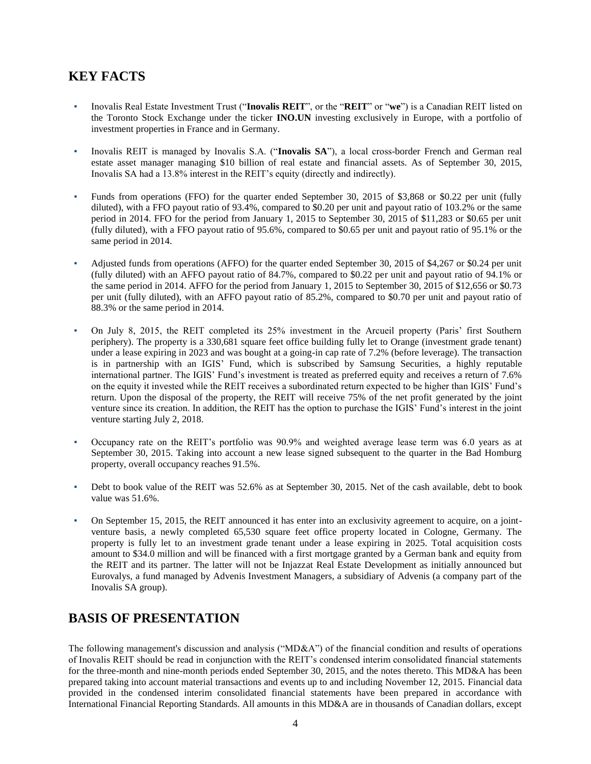# **KEY FACTS**

- Inovalis Real Estate Investment Trust ("**Inovalis REIT**", or the "**REIT**" or "**we**") is a Canadian REIT listed on the Toronto Stock Exchange under the ticker **INO.UN** investing exclusively in Europe, with a portfolio of investment properties in France and in Germany.
- Inovalis REIT is managed by Inovalis S.A. ("Inovalis SA"), a local cross-border French and German real estate asset manager managing \$10 billion of real estate and financial assets. As of September 30, 2015, Inovalis SA had a 13.8% interest in the REIT's equity (directly and indirectly).
- Funds from operations (FFO) for the quarter ended September 30, 2015 of \$3,868 or \$0.22 per unit (fully diluted), with a FFO payout ratio of 93.4%, compared to \$0.20 per unit and payout ratio of 103.2% or the same period in 2014. FFO for the period from January 1, 2015 to September 30, 2015 of \$11,283 or \$0.65 per unit (fully diluted), with a FFO payout ratio of 95.6%, compared to \$0.65 per unit and payout ratio of 95.1% or the same period in 2014.
- Adjusted funds from operations (AFFO) for the quarter ended September 30, 2015 of \$4,267 or \$0.24 per unit (fully diluted) with an AFFO payout ratio of 84.7%, compared to \$0.22 per unit and payout ratio of 94.1% or the same period in 2014. AFFO for the period from January 1, 2015 to September 30, 2015 of \$12,656 or \$0.73 per unit (fully diluted), with an AFFO payout ratio of 85.2%, compared to \$0.70 per unit and payout ratio of 88.3% or the same period in 2014.
- On July 8, 2015, the REIT completed its 25% investment in the Arcueil property (Paris' first Southern periphery). The property is a 330,681 square feet office building fully let to Orange (investment grade tenant) under a lease expiring in 2023 and was bought at a going-in cap rate of 7.2% (before leverage). The transaction is in partnership with an IGIS' Fund, which is subscribed by Samsung Securities, a highly reputable international partner. The IGIS' Fund's investment is treated as preferred equity and receives a return of 7.6% on the equity it invested while the REIT receives a subordinated return expected to be higher than IGIS' Fund's return. Upon the disposal of the property, the REIT will receive 75% of the net profit generated by the joint venture since its creation. In addition, the REIT has the option to purchase the IGIS' Fund's interest in the joint venture starting July 2, 2018.
- Occupancy rate on the REIT's portfolio was 90.9% and weighted average lease term was 6.0 years as at September 30, 2015. Taking into account a new lease signed subsequent to the quarter in the Bad Homburg property, overall occupancy reaches 91.5%.
- Debt to book value of the REIT was 52.6% as at September 30, 2015. Net of the cash available, debt to book value was 51.6%.
- On September 15, 2015, the REIT announced it has enter into an exclusivity agreement to acquire, on a jointventure basis, a newly completed 65,530 square feet office property located in Cologne, Germany. The property is fully let to an investment grade tenant under a lease expiring in 2025. Total acquisition costs amount to \$34.0 million and will be financed with a first mortgage granted by a German bank and equity from the REIT and its partner. The latter will not be Injazzat Real Estate Development as initially announced but Eurovalys, a fund managed by Advenis Investment Managers, a subsidiary of Advenis (a company part of the Inovalis SA group).

# **BASIS OF PRESENTATION**

The following management's discussion and analysis ("MD&A") of the financial condition and results of operations of Inovalis REIT should be read in conjunction with the REIT's condensed interim consolidated financial statements for the three-month and nine-month periods ended September 30, 2015, and the notes thereto. This MD&A has been prepared taking into account material transactions and events up to and including November 12, 2015. Financial data provided in the condensed interim consolidated financial statements have been prepared in accordance with International Financial Reporting Standards. All amounts in this MD&A are in thousands of Canadian dollars, except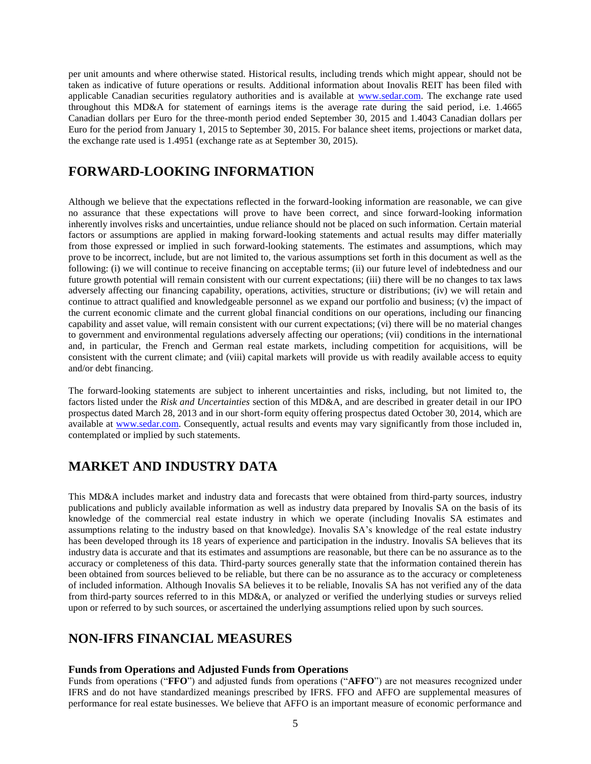per unit amounts and where otherwise stated. Historical results, including trends which might appear, should not be taken as indicative of future operations or results. Additional information about Inovalis REIT has been filed with applicable Canadian securities regulatory authorities and is available at [www.sedar.com.](http://www.sedar.com/) The exchange rate used throughout this MD&A for statement of earnings items is the average rate during the said period, i.e. 1.4665 Canadian dollars per Euro for the three-month period ended September 30, 2015 and 1.4043 Canadian dollars per Euro for the period from January 1, 2015 to September 30, 2015. For balance sheet items, projections or market data, the exchange rate used is 1.4951 (exchange rate as at September 30, 2015).

### **FORWARD-LOOKING INFORMATION**

Although we believe that the expectations reflected in the forward-looking information are reasonable, we can give no assurance that these expectations will prove to have been correct, and since forward-looking information inherently involves risks and uncertainties, undue reliance should not be placed on such information. Certain material factors or assumptions are applied in making forward-looking statements and actual results may differ materially from those expressed or implied in such forward-looking statements. The estimates and assumptions, which may prove to be incorrect, include, but are not limited to, the various assumptions set forth in this document as well as the following: (i) we will continue to receive financing on acceptable terms; (ii) our future level of indebtedness and our future growth potential will remain consistent with our current expectations; (iii) there will be no changes to tax laws adversely affecting our financing capability, operations, activities, structure or distributions; (iv) we will retain and continue to attract qualified and knowledgeable personnel as we expand our portfolio and business; (v) the impact of the current economic climate and the current global financial conditions on our operations, including our financing capability and asset value, will remain consistent with our current expectations; (vi) there will be no material changes to government and environmental regulations adversely affecting our operations; (vii) conditions in the international and, in particular, the French and German real estate markets, including competition for acquisitions, will be consistent with the current climate; and (viii) capital markets will provide us with readily available access to equity and/or debt financing.

The forward-looking statements are subject to inherent uncertainties and risks, including, but not limited to, the factors listed under the *Risk and Uncertainties* section of this MD&A, and are described in greater detail in our IPO prospectus dated March 28, 2013 and in our short-form equity offering prospectus dated October 30, 2014, which are available at [www.sedar.com.](http://www.sedar.com/) Consequently, actual results and events may vary significantly from those included in, contemplated or implied by such statements.

# **MARKET AND INDUSTRY DATA**

This MD&A includes market and industry data and forecasts that were obtained from third-party sources, industry publications and publicly available information as well as industry data prepared by Inovalis SA on the basis of its knowledge of the commercial real estate industry in which we operate (including Inovalis SA estimates and assumptions relating to the industry based on that knowledge). Inovalis SA's knowledge of the real estate industry has been developed through its 18 years of experience and participation in the industry. Inovalis SA believes that its industry data is accurate and that its estimates and assumptions are reasonable, but there can be no assurance as to the accuracy or completeness of this data. Third-party sources generally state that the information contained therein has been obtained from sources believed to be reliable, but there can be no assurance as to the accuracy or completeness of included information. Although Inovalis SA believes it to be reliable, Inovalis SA has not verified any of the data from third-party sources referred to in this MD&A, or analyzed or verified the underlying studies or surveys relied upon or referred to by such sources, or ascertained the underlying assumptions relied upon by such sources.

### **NON-IFRS FINANCIAL MEASURES**

#### **Funds from Operations and Adjusted Funds from Operations**

Funds from operations ("**FFO**") and adjusted funds from operations ("**AFFO**") are not measures recognized under IFRS and do not have standardized meanings prescribed by IFRS. FFO and AFFO are supplemental measures of performance for real estate businesses. We believe that AFFO is an important measure of economic performance and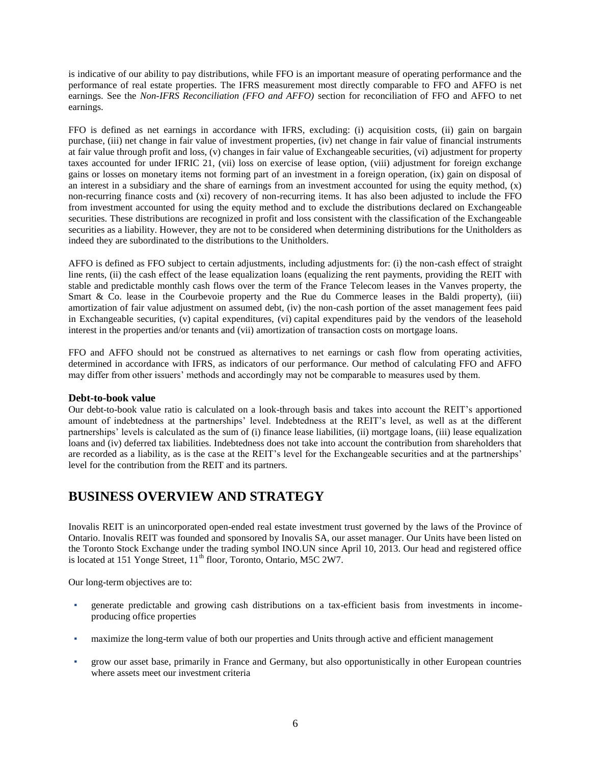is indicative of our ability to pay distributions, while FFO is an important measure of operating performance and the performance of real estate properties. The IFRS measurement most directly comparable to FFO and AFFO is net earnings. See the *Non-IFRS Reconciliation (FFO and AFFO)* section for reconciliation of FFO and AFFO to net earnings.

FFO is defined as net earnings in accordance with IFRS, excluding: (i) acquisition costs, (ii) gain on bargain purchase, (iii) net change in fair value of investment properties, (iv) net change in fair value of financial instruments at fair value through profit and loss, (v) changes in fair value of Exchangeable securities, (vi) adjustment for property taxes accounted for under IFRIC 21, (vii) loss on exercise of lease option, (viii) adjustment for foreign exchange gains or losses on monetary items not forming part of an investment in a foreign operation, (ix) gain on disposal of an interest in a subsidiary and the share of earnings from an investment accounted for using the equity method,  $(x)$ non-recurring finance costs and (xi) recovery of non-recurring items. It has also been adjusted to include the FFO from investment accounted for using the equity method and to exclude the distributions declared on Exchangeable securities. These distributions are recognized in profit and loss consistent with the classification of the Exchangeable securities as a liability. However, they are not to be considered when determining distributions for the Unitholders as indeed they are subordinated to the distributions to the Unitholders.

AFFO is defined as FFO subject to certain adjustments, including adjustments for: (i) the non-cash effect of straight line rents, (ii) the cash effect of the lease equalization loans (equalizing the rent payments, providing the REIT with stable and predictable monthly cash flows over the term of the France Telecom leases in the Vanves property, the Smart & Co. lease in the Courbevoie property and the Rue du Commerce leases in the Baldi property), (iii) amortization of fair value adjustment on assumed debt, (iv) the non-cash portion of the asset management fees paid in Exchangeable securities, (v) capital expenditures, (vi) capital expenditures paid by the vendors of the leasehold interest in the properties and/or tenants and (vii) amortization of transaction costs on mortgage loans.

FFO and AFFO should not be construed as alternatives to net earnings or cash flow from operating activities, determined in accordance with IFRS, as indicators of our performance. Our method of calculating FFO and AFFO may differ from other issuers' methods and accordingly may not be comparable to measures used by them.

#### **Debt-to-book value**

Our debt-to-book value ratio is calculated on a look-through basis and takes into account the REIT's apportioned amount of indebtedness at the partnerships' level. Indebtedness at the REIT's level, as well as at the different partnerships' levels is calculated as the sum of (i) finance lease liabilities, (ii) mortgage loans, (iii) lease equalization loans and (iv) deferred tax liabilities. Indebtedness does not take into account the contribution from shareholders that are recorded as a liability, as is the case at the REIT's level for the Exchangeable securities and at the partnerships' level for the contribution from the REIT and its partners.

### **BUSINESS OVERVIEW AND STRATEGY**

Inovalis REIT is an unincorporated open-ended real estate investment trust governed by the laws of the Province of Ontario. Inovalis REIT was founded and sponsored by Inovalis SA, our asset manager. Our Units have been listed on the Toronto Stock Exchange under the trading symbol INO.UN since April 10, 2013. Our head and registered office is located at 151 Yonge Street,  $11<sup>th</sup>$  floor, Toronto, Ontario, M5C 2W7.

Our long-term objectives are to:

- generate predictable and growing cash distributions on a tax-efficient basis from investments in incomeproducing office properties
- maximize the long-term value of both our properties and Units through active and efficient management
- grow our asset base, primarily in France and Germany, but also opportunistically in other European countries where assets meet our investment criteria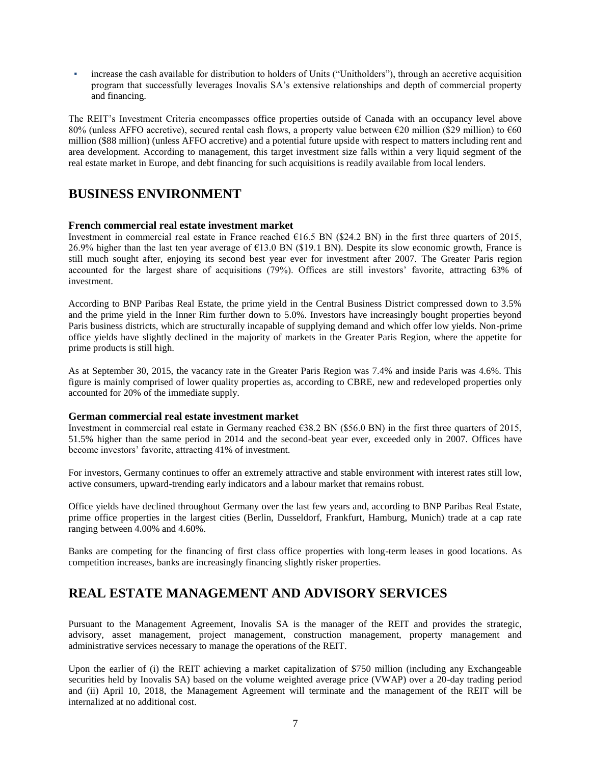increase the cash available for distribution to holders of Units ("Unitholders"), through an accretive acquisition program that successfully leverages Inovalis SA's extensive relationships and depth of commercial property and financing.

The REIT's Investment Criteria encompasses office properties outside of Canada with an occupancy level above 80% (unless AFFO accretive), secured rental cash flows, a property value between €20 million (\$29 million) to €60 million (\$88 million) (unless AFFO accretive) and a potential future upside with respect to matters including rent and area development. According to management, this target investment size falls within a very liquid segment of the real estate market in Europe, and debt financing for such acquisitions is readily available from local lenders.

### **BUSINESS ENVIRONMENT**

#### **French commercial real estate investment market**

Investment in commercial real estate in France reached  $\epsilon$ 16.5 BN (\$24.2 BN) in the first three quarters of 2015, 26.9% higher than the last ten year average of €13.0 BN (\$19.1 BN). Despite its slow economic growth, France is still much sought after, enjoying its second best year ever for investment after 2007. The Greater Paris region accounted for the largest share of acquisitions (79%). Offices are still investors' favorite, attracting 63% of investment.

According to BNP Paribas Real Estate, the prime yield in the Central Business District compressed down to 3.5% and the prime yield in the Inner Rim further down to 5.0%. Investors have increasingly bought properties beyond Paris business districts, which are structurally incapable of supplying demand and which offer low yields. Non-prime office yields have slightly declined in the majority of markets in the Greater Paris Region, where the appetite for prime products is still high.

As at September 30, 2015, the vacancy rate in the Greater Paris Region was 7.4% and inside Paris was 4.6%. This figure is mainly comprised of lower quality properties as, according to CBRE, new and redeveloped properties only accounted for 20% of the immediate supply.

#### **German commercial real estate investment market**

Investment in commercial real estate in Germany reached €38.2 BN (\$56.0 BN) in the first three quarters of 2015, 51.5% higher than the same period in 2014 and the second-beat year ever, exceeded only in 2007. Offices have become investors' favorite, attracting 41% of investment.

For investors, Germany continues to offer an extremely attractive and stable environment with interest rates still low, active consumers, upward-trending early indicators and a labour market that remains robust.

Office yields have declined throughout Germany over the last few years and, according to BNP Paribas Real Estate, prime office properties in the largest cities (Berlin, Dusseldorf, Frankfurt, Hamburg, Munich) trade at a cap rate ranging between 4.00% and 4.60%.

Banks are competing for the financing of first class office properties with long-term leases in good locations. As competition increases, banks are increasingly financing slightly risker properties.

### **REAL ESTATE MANAGEMENT AND ADVISORY SERVICES**

Pursuant to the Management Agreement, Inovalis SA is the manager of the REIT and provides the strategic, advisory, asset management, project management, construction management, property management and administrative services necessary to manage the operations of the REIT.

Upon the earlier of (i) the REIT achieving a market capitalization of \$750 million (including any Exchangeable securities held by Inovalis SA) based on the volume weighted average price (VWAP) over a 20-day trading period and (ii) April 10, 2018, the Management Agreement will terminate and the management of the REIT will be internalized at no additional cost.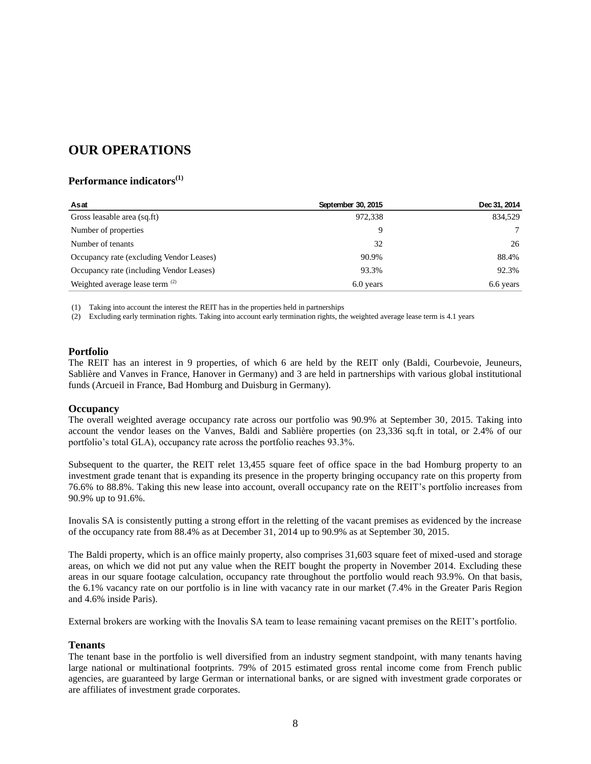## **OUR OPERATIONS**

#### **Performance indicators(1)**

| Asat                                     | September 30, 2015 | Dec 31, 2014 |
|------------------------------------------|--------------------|--------------|
| Gross leasable area (sq.ft)              | 972,338            | 834.529      |
| Number of properties                     |                    |              |
| Number of tenants                        | 32                 | 26           |
| Occupancy rate (excluding Vendor Leases) | 90.9%              | 88.4%        |
| Occupancy rate (including Vendor Leases) | 93.3%              | 92.3%        |
| Weighted average lease term (2)          | 6.0 years          | 6.6 years    |

(1) Taking into account the interest the REIT has in the properties held in partnerships

(2) Excluding early termination rights. Taking into account early termination rights, the weighted average lease term is 4.1 years

#### **Portfolio**

The REIT has an interest in 9 properties, of which 6 are held by the REIT only (Baldi, Courbevoie, Jeuneurs, Sablière and Vanves in France, Hanover in Germany) and 3 are held in partnerships with various global institutional funds (Arcueil in France, Bad Homburg and Duisburg in Germany).

#### **Occupancy**

The overall weighted average occupancy rate across our portfolio was 90.9% at September 30, 2015. Taking into account the vendor leases on the Vanves, Baldi and Sablière properties (on 23,336 sq.ft in total, or 2.4% of our portfolio's total GLA), occupancy rate across the portfolio reaches 93.3%.

Subsequent to the quarter, the REIT relet 13,455 square feet of office space in the bad Homburg property to an investment grade tenant that is expanding its presence in the property bringing occupancy rate on this property from 76.6% to 88.8%. Taking this new lease into account, overall occupancy rate on the REIT's portfolio increases from 90.9% up to 91.6%.

Inovalis SA is consistently putting a strong effort in the reletting of the vacant premises as evidenced by the increase of the occupancy rate from 88.4% as at December 31, 2014 up to 90.9% as at September 30, 2015.

The Baldi property, which is an office mainly property, also comprises 31,603 square feet of mixed-used and storage areas, on which we did not put any value when the REIT bought the property in November 2014. Excluding these areas in our square footage calculation, occupancy rate throughout the portfolio would reach 93.9%. On that basis, the 6.1% vacancy rate on our portfolio is in line with vacancy rate in our market (7.4% in the Greater Paris Region and 4.6% inside Paris).

External brokers are working with the Inovalis SA team to lease remaining vacant premises on the REIT's portfolio.

#### **Tenants**

The tenant base in the portfolio is well diversified from an industry segment standpoint, with many tenants having large national or multinational footprints. 79% of 2015 estimated gross rental income come from French public agencies, are guaranteed by large German or international banks, or are signed with investment grade corporates or are affiliates of investment grade corporates.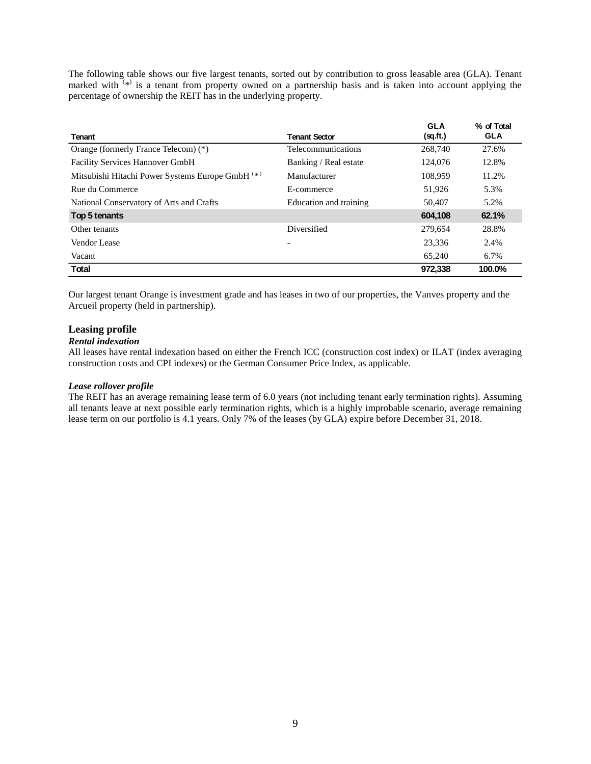The following table shows our five largest tenants, sorted out by contribution to gross leasable area (GLA). Tenant marked with  $(*)$  is a tenant from property owned on a partnership basis and is taken into account applying the percentage of ownership the REIT has in the underlying property.

|                                                             |                          | <b>GLA</b> | % of Total |
|-------------------------------------------------------------|--------------------------|------------|------------|
| <b>Tenant</b>                                               | <b>Tenant Sector</b>     | (sq.ft.)   | <b>GLA</b> |
| Orange (formerly France Telecom) (*)                        | Telecommunications       | 268,740    | 27.6%      |
| <b>Facility Services Hannover GmbH</b>                      | Banking / Real estate    | 124,076    | 12.8%      |
| Mitsubishi Hitachi Power Systems Europe GmbH <sup>(*)</sup> | Manufacturer             | 108.959    | 11.2%      |
| Rue du Commerce                                             | E-commerce               | 51,926     | 5.3%       |
| National Conservatory of Arts and Crafts                    | Education and training   | 50,407     | 5.2%       |
| Top 5 tenants                                               |                          | 604,108    | 62.1%      |
| Other tenants                                               | Diversified              | 279.654    | 28.8%      |
| Vendor Lease                                                | $\overline{\phantom{a}}$ | 23,336     | 2.4%       |
| Vacant                                                      |                          | 65,240     | 6.7%       |
| <b>Total</b>                                                |                          | 972,338    | 100.0%     |

Our largest tenant Orange is investment grade and has leases in two of our properties, the Vanves property and the Arcueil property (held in partnership).

#### **Leasing profile**

#### *Rental indexation*

All leases have rental indexation based on either the French ICC (construction cost index) or ILAT (index averaging construction costs and CPI indexes) or the German Consumer Price Index, as applicable.

#### *Lease rollover profile*

The REIT has an average remaining lease term of 6.0 years (not including tenant early termination rights). Assuming all tenants leave at next possible early termination rights, which is a highly improbable scenario, average remaining lease term on our portfolio is 4.1 years. Only 7% of the leases (by GLA) expire before December 31, 2018.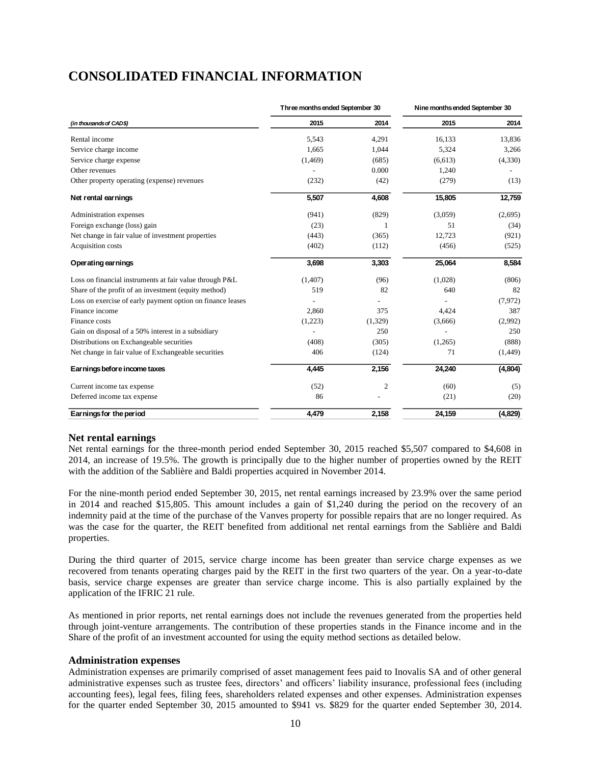# **CONSOLIDATED FINANCIAL INFORMATION**

|                                                            | Three months ended September 30 |         | Nine months ended September 30 |          |  |
|------------------------------------------------------------|---------------------------------|---------|--------------------------------|----------|--|
| (in thousands of CAD\$)                                    | 2015                            | 2014    | 2015                           | 2014     |  |
| Rental income                                              | 5,543                           | 4,291   | 16,133                         | 13,836   |  |
| Service charge income                                      | 1,665                           | 1,044   | 5,324                          | 3,266    |  |
| Service charge expense                                     | (1, 469)                        | (685)   | (6,613)                        | (4,330)  |  |
| Other revenues                                             |                                 | 0.000   | 1,240                          |          |  |
| Other property operating (expense) revenues                | (232)                           | (42)    | (279)                          | (13)     |  |
| Net rental earnings                                        | 5,507                           | 4,608   | 15,805                         | 12,759   |  |
| Administration expenses                                    | (941)                           | (829)   | (3,059)                        | (2,695)  |  |
| Foreign exchange (loss) gain                               | (23)                            | 1       | 51                             | (34)     |  |
| Net change in fair value of investment properties          | (443)                           | (365)   | 12,723                         | (921)    |  |
| Acquisition costs                                          | (402)                           | (112)   | (456)                          | (525)    |  |
| Operating earnings                                         | 3,698                           | 3,303   | 25,064                         | 8,584    |  |
| Loss on financial instruments at fair value through P&L    | (1, 407)                        | (96)    | (1,028)                        | (806)    |  |
| Share of the profit of an investment (equity method)       | 519                             | 82      | 640                            | 82       |  |
| Loss on exercise of early payment option on finance leases |                                 |         |                                | (7,972)  |  |
| Finance income                                             | 2,860                           | 375     | 4,424                          | 387      |  |
| Finance costs                                              | (1,223)                         | (1,329) | (3,666)                        | (2,992)  |  |
| Gain on disposal of a 50% interest in a subsidiary         |                                 | 250     |                                | 250      |  |
| Distributions on Exchangeable securities                   | (408)                           | (305)   | (1,265)                        | (888)    |  |
| Net change in fair value of Exchangeable securities        | 406                             | (124)   | 71                             | (1, 449) |  |
| Earnings before income taxes                               | 4,445                           | 2,156   | 24,240                         | (4,804)  |  |
| Current income tax expense                                 | (52)                            | 2       | (60)                           | (5)      |  |
| Deferred income tax expense                                | 86                              |         | (21)                           | (20)     |  |
| Earnings for the period                                    | 4,479                           | 2,158   | 24,159                         | (4,829)  |  |

#### **Net rental earnings**

Net rental earnings for the three-month period ended September 30, 2015 reached \$5,507 compared to \$4,608 in 2014, an increase of 19.5%. The growth is principally due to the higher number of properties owned by the REIT with the addition of the Sablière and Baldi properties acquired in November 2014.

For the nine-month period ended September 30, 2015, net rental earnings increased by 23.9% over the same period in 2014 and reached \$15,805. This amount includes a gain of \$1,240 during the period on the recovery of an indemnity paid at the time of the purchase of the Vanves property for possible repairs that are no longer required. As was the case for the quarter, the REIT benefited from additional net rental earnings from the Sablière and Baldi properties.

During the third quarter of 2015, service charge income has been greater than service charge expenses as we recovered from tenants operating charges paid by the REIT in the first two quarters of the year. On a year-to-date basis, service charge expenses are greater than service charge income. This is also partially explained by the application of the IFRIC 21 rule.

As mentioned in prior reports, net rental earnings does not include the revenues generated from the properties held through joint-venture arrangements. The contribution of these properties stands in the Finance income and in the Share of the profit of an investment accounted for using the equity method sections as detailed below.

#### **Administration expenses**

Administration expenses are primarily comprised of asset management fees paid to Inovalis SA and of other general administrative expenses such as trustee fees, directors' and officers' liability insurance, professional fees (including accounting fees), legal fees, filing fees, shareholders related expenses and other expenses. Administration expenses for the quarter ended September 30, 2015 amounted to \$941 vs. \$829 for the quarter ended September 30, 2014.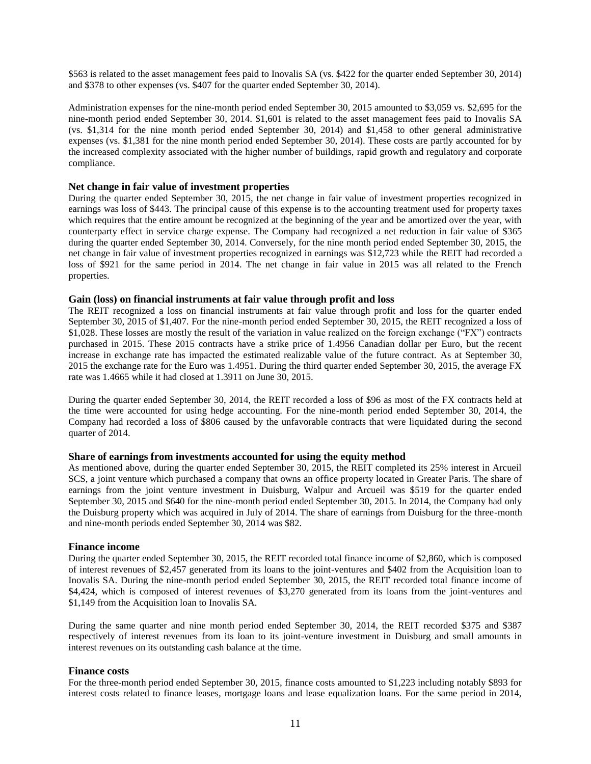\$563 is related to the asset management fees paid to Inovalis SA (vs. \$422 for the quarter ended September 30, 2014) and \$378 to other expenses (vs. \$407 for the quarter ended September 30, 2014).

Administration expenses for the nine-month period ended September 30, 2015 amounted to \$3,059 vs. \$2,695 for the nine-month period ended September 30, 2014. \$1,601 is related to the asset management fees paid to Inovalis SA (vs. \$1,314 for the nine month period ended September 30, 2014) and \$1,458 to other general administrative expenses (vs. \$1,381 for the nine month period ended September 30, 2014). These costs are partly accounted for by the increased complexity associated with the higher number of buildings, rapid growth and regulatory and corporate compliance.

#### **Net change in fair value of investment properties**

During the quarter ended September 30, 2015, the net change in fair value of investment properties recognized in earnings was loss of \$443. The principal cause of this expense is to the accounting treatment used for property taxes which requires that the entire amount be recognized at the beginning of the year and be amortized over the year, with counterparty effect in service charge expense. The Company had recognized a net reduction in fair value of \$365 during the quarter ended September 30, 2014. Conversely, for the nine month period ended September 30, 2015, the net change in fair value of investment properties recognized in earnings was \$12,723 while the REIT had recorded a loss of \$921 for the same period in 2014. The net change in fair value in 2015 was all related to the French properties.

#### **Gain (loss) on financial instruments at fair value through profit and loss**

The REIT recognized a loss on financial instruments at fair value through profit and loss for the quarter ended September 30, 2015 of \$1,407. For the nine-month period ended September 30, 2015, the REIT recognized a loss of \$1,028. These losses are mostly the result of the variation in value realized on the foreign exchange ("FX") contracts purchased in 2015. These 2015 contracts have a strike price of 1.4956 Canadian dollar per Euro, but the recent increase in exchange rate has impacted the estimated realizable value of the future contract. As at September 30, 2015 the exchange rate for the Euro was 1.4951. During the third quarter ended September 30, 2015, the average FX rate was 1.4665 while it had closed at 1.3911 on June 30, 2015.

During the quarter ended September 30, 2014, the REIT recorded a loss of \$96 as most of the FX contracts held at the time were accounted for using hedge accounting. For the nine-month period ended September 30, 2014, the Company had recorded a loss of \$806 caused by the unfavorable contracts that were liquidated during the second quarter of 2014.

#### **Share of earnings from investments accounted for using the equity method**

As mentioned above, during the quarter ended September 30, 2015, the REIT completed its 25% interest in Arcueil SCS, a joint venture which purchased a company that owns an office property located in Greater Paris. The share of earnings from the joint venture investment in Duisburg, Walpur and Arcueil was \$519 for the quarter ended September 30, 2015 and \$640 for the nine-month period ended September 30, 2015. In 2014, the Company had only the Duisburg property which was acquired in July of 2014. The share of earnings from Duisburg for the three-month and nine-month periods ended September 30, 2014 was \$82.

#### **Finance income**

During the quarter ended September 30, 2015, the REIT recorded total finance income of \$2,860, which is composed of interest revenues of \$2,457 generated from its loans to the joint-ventures and \$402 from the Acquisition loan to Inovalis SA. During the nine-month period ended September 30, 2015, the REIT recorded total finance income of \$4,424, which is composed of interest revenues of \$3,270 generated from its loans from the joint-ventures and \$1,149 from the Acquisition loan to Inovalis SA.

During the same quarter and nine month period ended September 30, 2014, the REIT recorded \$375 and \$387 respectively of interest revenues from its loan to its joint-venture investment in Duisburg and small amounts in interest revenues on its outstanding cash balance at the time.

#### **Finance costs**

For the three-month period ended September 30, 2015, finance costs amounted to \$1,223 including notably \$893 for interest costs related to finance leases, mortgage loans and lease equalization loans. For the same period in 2014,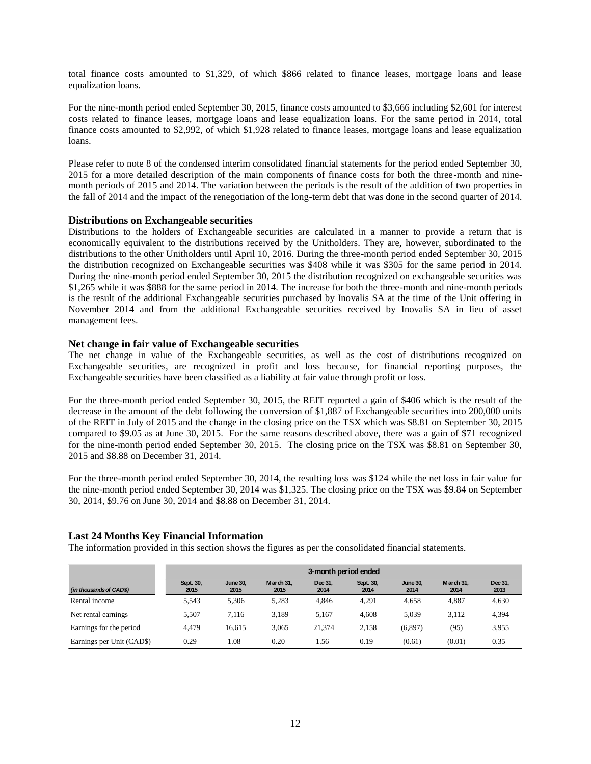total finance costs amounted to \$1,329, of which \$866 related to finance leases, mortgage loans and lease equalization loans.

For the nine-month period ended September 30, 2015, finance costs amounted to \$3,666 including \$2,601 for interest costs related to finance leases, mortgage loans and lease equalization loans. For the same period in 2014, total finance costs amounted to \$2,992, of which \$1,928 related to finance leases, mortgage loans and lease equalization loans.

Please refer to note 8 of the condensed interim consolidated financial statements for the period ended September 30, 2015 for a more detailed description of the main components of finance costs for both the three-month and ninemonth periods of 2015 and 2014. The variation between the periods is the result of the addition of two properties in the fall of 2014 and the impact of the renegotiation of the long-term debt that was done in the second quarter of 2014.

#### **Distributions on Exchangeable securities**

Distributions to the holders of Exchangeable securities are calculated in a manner to provide a return that is economically equivalent to the distributions received by the Unitholders. They are, however, subordinated to the distributions to the other Unitholders until April 10, 2016. During the three-month period ended September 30, 2015 the distribution recognized on Exchangeable securities was \$408 while it was \$305 for the same period in 2014. During the nine-month period ended September 30, 2015 the distribution recognized on exchangeable securities was \$1,265 while it was \$888 for the same period in 2014. The increase for both the three-month and nine-month periods is the result of the additional Exchangeable securities purchased by Inovalis SA at the time of the Unit offering in November 2014 and from the additional Exchangeable securities received by Inovalis SA in lieu of asset management fees.

#### **Net change in fair value of Exchangeable securities**

The net change in value of the Exchangeable securities, as well as the cost of distributions recognized on Exchangeable securities, are recognized in profit and loss because, for financial reporting purposes, the Exchangeable securities have been classified as a liability at fair value through profit or loss.

For the three-month period ended September 30, 2015, the REIT reported a gain of \$406 which is the result of the decrease in the amount of the debt following the conversion of \$1,887 of Exchangeable securities into 200,000 units of the REIT in July of 2015 and the change in the closing price on the TSX which was \$8.81 on September 30, 2015 compared to \$9.05 as at June 30, 2015. For the same reasons described above, there was a gain of \$71 recognized for the nine-month period ended September 30, 2015. The closing price on the TSX was \$8.81 on September 30, 2015 and \$8.88 on December 31, 2014.

For the three-month period ended September 30, 2014, the resulting loss was \$124 while the net loss in fair value for the nine-month period ended September 30, 2014 was \$1,325. The closing price on the TSX was \$9.84 on September 30, 2014, \$9.76 on June 30, 2014 and \$8.88 on December 31, 2014.

#### **Last 24 Months Key Financial Information**

The information provided in this section shows the figures as per the consolidated financial statements.

|                           | 3-month period ended |                         |                   |                 |                   |                         |                   |                 |
|---------------------------|----------------------|-------------------------|-------------------|-----------------|-------------------|-------------------------|-------------------|-----------------|
| (in thousands of CAD\$)   | Sept. 30,<br>2015    | <b>June 30.</b><br>2015 | March 31.<br>2015 | Dec 31.<br>2014 | Sept. 30,<br>2014 | <b>June 30.</b><br>2014 | March 31.<br>2014 | Dec 31,<br>2013 |
| Rental income             | 5,543                | 5.306                   | 5,283             | 4.846           | 4,291             | 4.658                   | 4,887             | 4,630           |
| Net rental earnings.      | 5.507                | 7.116                   | 3.189             | 5.167           | 4.608             | 5.039                   | 3,112             | 4,394           |
| Earnings for the period   | 4.479                | 16.615                  | 3.065             | 21.374          | 2.158             | (6,897)                 | (95)              | 3,955           |
| Earnings per Unit (CAD\$) | 0.29                 | 1.08                    | 0.20              | .56             | 0.19              | (0.61)                  | (0.01)            | 0.35            |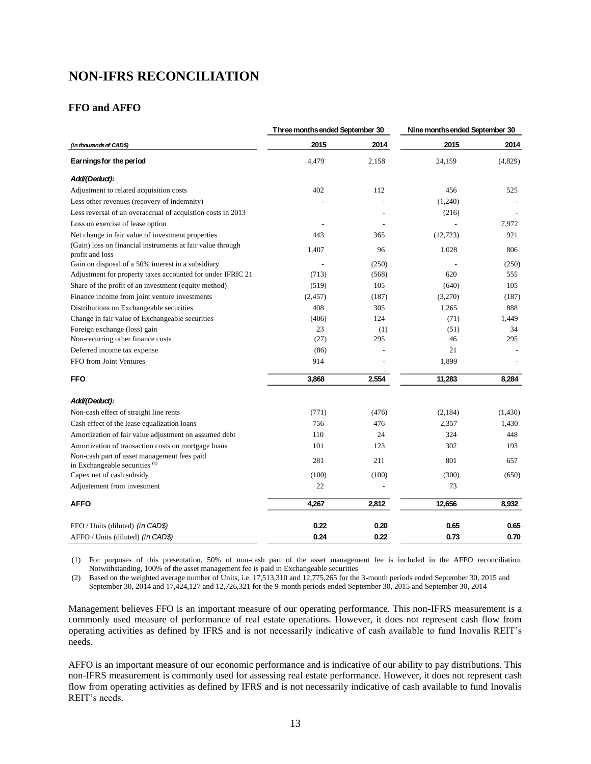# **NON-IFRS RECONCILIATION**

#### **FFO and AFFO**

|                                                                                                                                                                                                                                                                                                                                                                                                                                                                                                                                                                                  | Three months ended September 30 |              | Nine months ended September 30 |         |  |
|----------------------------------------------------------------------------------------------------------------------------------------------------------------------------------------------------------------------------------------------------------------------------------------------------------------------------------------------------------------------------------------------------------------------------------------------------------------------------------------------------------------------------------------------------------------------------------|---------------------------------|--------------|--------------------------------|---------|--|
| (in thousands of CAD\$)                                                                                                                                                                                                                                                                                                                                                                                                                                                                                                                                                          | 2015                            | 2014         | 2015                           | 2014    |  |
| Earnings for the period                                                                                                                                                                                                                                                                                                                                                                                                                                                                                                                                                          | 4,479                           | 2,158        | 24,159                         | (4,829) |  |
| Add/(Deduct):                                                                                                                                                                                                                                                                                                                                                                                                                                                                                                                                                                    |                                 |              |                                |         |  |
| Adjustment to related acquisition costs                                                                                                                                                                                                                                                                                                                                                                                                                                                                                                                                          | 402                             | 112          | 456                            | 525     |  |
| Less other revenues (recovery of indemnity)                                                                                                                                                                                                                                                                                                                                                                                                                                                                                                                                      |                                 |              | (1,240)                        |         |  |
| Less reversal of an overaccrual of acquistion costs in 2013                                                                                                                                                                                                                                                                                                                                                                                                                                                                                                                      |                                 |              | (216)                          |         |  |
| Loss on exercise of lease option                                                                                                                                                                                                                                                                                                                                                                                                                                                                                                                                                 |                                 |              |                                | 7,972   |  |
| Net change in fair value of investment properties                                                                                                                                                                                                                                                                                                                                                                                                                                                                                                                                | 443                             | 365          | (12, 723)                      | 921     |  |
| (Gain) loss on financial instruments at fair value through<br>profit and loss                                                                                                                                                                                                                                                                                                                                                                                                                                                                                                    | 1,407                           | 96           | 1,028                          | 806     |  |
| Gain on disposal of a 50% interest in a subsidiary                                                                                                                                                                                                                                                                                                                                                                                                                                                                                                                               |                                 | (250)        |                                | (250)   |  |
| Adjustment for property taxes accounted for under IFRIC 21                                                                                                                                                                                                                                                                                                                                                                                                                                                                                                                       | (713)                           | (568)        | 620                            | 555     |  |
| Share of the profit of an investment (equity method)                                                                                                                                                                                                                                                                                                                                                                                                                                                                                                                             | (519)                           | 105          | (640)                          | 105     |  |
| Finance income from joint venture investments                                                                                                                                                                                                                                                                                                                                                                                                                                                                                                                                    | (2, 457)                        | (187)        | (3,270)                        | (187)   |  |
| Distributions on Exchangeable securities                                                                                                                                                                                                                                                                                                                                                                                                                                                                                                                                         | 408                             | 305          | 1,265                          | 888     |  |
| Change in fair value of Exchangeable securities                                                                                                                                                                                                                                                                                                                                                                                                                                                                                                                                  | (406)                           | 124          | (71)                           | 1,449   |  |
| Foreign exchange (loss) gain                                                                                                                                                                                                                                                                                                                                                                                                                                                                                                                                                     | 23                              | (1)          | (51)                           | 34      |  |
| Non-recurring other finance costs                                                                                                                                                                                                                                                                                                                                                                                                                                                                                                                                                | (27)                            | 295          | 46                             | 295     |  |
| Deferred income tax expense                                                                                                                                                                                                                                                                                                                                                                                                                                                                                                                                                      | (86)                            |              | 21                             |         |  |
| FFO from Joint Ventures                                                                                                                                                                                                                                                                                                                                                                                                                                                                                                                                                          | 914                             |              | 1,899                          |         |  |
| <b>FFO</b>                                                                                                                                                                                                                                                                                                                                                                                                                                                                                                                                                                       | 3,868                           | 2,554        | 11,283                         | 8,284   |  |
| Add/(Deduct):                                                                                                                                                                                                                                                                                                                                                                                                                                                                                                                                                                    |                                 |              |                                |         |  |
| Non-cash effect of straight line rents                                                                                                                                                                                                                                                                                                                                                                                                                                                                                                                                           | (771)                           | (476)        | (2,184)                        | (1,430) |  |
| Cash effect of the lease equalization loans                                                                                                                                                                                                                                                                                                                                                                                                                                                                                                                                      | 756                             | 476          | 2,357                          | 1,430   |  |
| Amortization of fair value adjustment on assumed debt                                                                                                                                                                                                                                                                                                                                                                                                                                                                                                                            | 110                             | 24           | 324                            | 448     |  |
| Amortization of transaction costs on mortgage loans                                                                                                                                                                                                                                                                                                                                                                                                                                                                                                                              | 101                             | 123          | 302                            | 193     |  |
| Non-cash part of asset management fees paid                                                                                                                                                                                                                                                                                                                                                                                                                                                                                                                                      |                                 |              |                                |         |  |
| in Exchangeable securities <sup>(1)</sup>                                                                                                                                                                                                                                                                                                                                                                                                                                                                                                                                        | 281                             | 211          | 801                            | 657     |  |
| Capex net of cash subsidy                                                                                                                                                                                                                                                                                                                                                                                                                                                                                                                                                        | (100)                           | (100)        | (300)                          | (650)   |  |
| Adjustement from investment                                                                                                                                                                                                                                                                                                                                                                                                                                                                                                                                                      | 22                              |              | 73                             |         |  |
| <b>AFFO</b>                                                                                                                                                                                                                                                                                                                                                                                                                                                                                                                                                                      | 4,267                           | 2,812        | 12,656                         | 8,932   |  |
|                                                                                                                                                                                                                                                                                                                                                                                                                                                                                                                                                                                  |                                 |              |                                | 0.65    |  |
|                                                                                                                                                                                                                                                                                                                                                                                                                                                                                                                                                                                  |                                 |              |                                | 0.70    |  |
| FFO / Units (diluted) <i>(in CAD\$)</i><br>AFFO / Units (diluted) (in CAD\$)<br>(1) For purposes of this presentation, 50% of non-cash part of the asset management fee is included in the AFFO reconciliation.<br>Notwithstanding, 100% of the asset management fee is paid in Exchangeable securities<br>Based on the weighted average number of Units, i.e. 17,513,310 and 12,775,265 for the 3-month periods ended September 30, 2015 and<br>(2)<br>September 30, 2014 and 17,424,127 and 12,726,321 for the 9-month periods ended September 30, 2015 and September 30, 2014 | 0.22<br>0.24                    | 0.20<br>0.22 | 0.65<br>0.73                   |         |  |
| Management believes FFO is an important measure of our operating performance. This non-IFRS measurement is a<br>commonly used measure of performance of real estate operations. However, it does not represent cash flow from<br>operating activities as defined by IFRS and is not necessarily indicative of cash available to fund Inovalis REIT's<br>needs.                                                                                                                                                                                                                   |                                 |              |                                |         |  |
| AFFO is an important measure of our economic performance and is indicative of our ability to pay distributions. This<br>non-IFRS measurement is commonly used for assessing real estate performance. However, it does not represent cash<br>flow from operating activities as defined by IFRS and is not necessarily indicative of cash available to fund Inovalis<br>REIT's needs.                                                                                                                                                                                              |                                 |              |                                |         |  |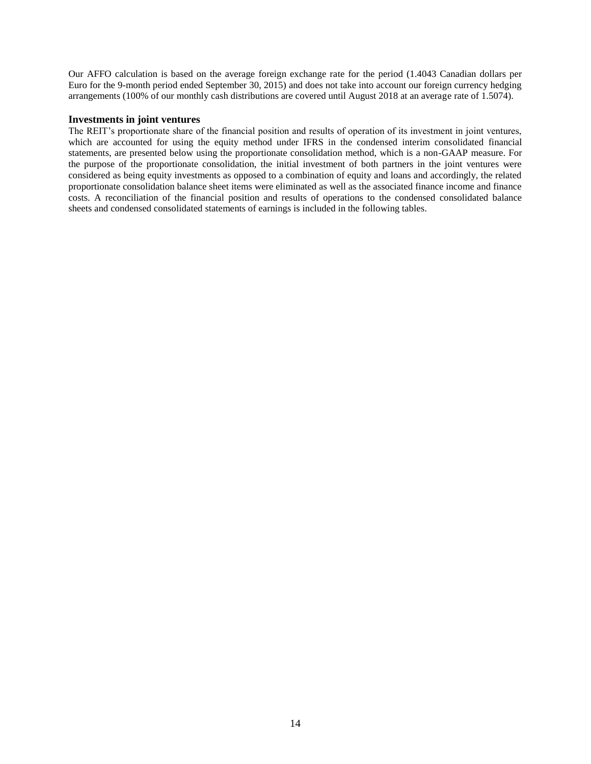Our AFFO calculation is based on the average foreign exchange rate for the period (1.4043 Canadian dollars per Euro for the 9-month period ended September 30, 2015) and does not take into account our foreign currency hedging arrangements (100% of our monthly cash distributions are covered until August 2018 at an average rate of 1.5074).

#### **Investments in joint ventures**

The REIT's proportionate share of the financial position and results of operation of its investment in joint ventures, which are accounted for using the equity method under IFRS in the condensed interim consolidated financial statements, are presented below using the proportionate consolidation method, which is a non-GAAP measure. For the purpose of the proportionate consolidation, the initial investment of both partners in the joint ventures were considered as being equity investments as opposed to a combination of equity and loans and accordingly, the related proportionate consolidation balance sheet items were eliminated as well as the associated finance income and finance costs. A reconciliation of the financial position and results of operations to the condensed consolidated balance sheets and condensed consolidated statements of earnings is included in the following tables.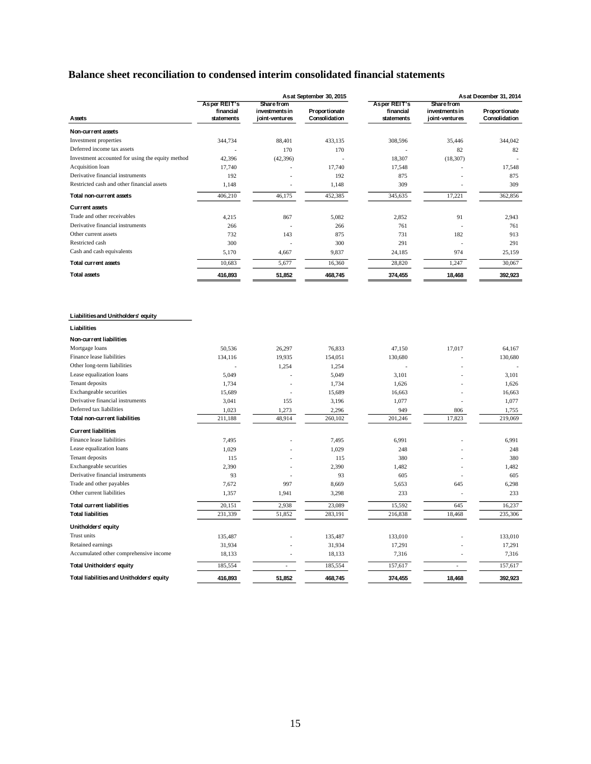### **Balance sheet reconciliation to condensed interim consolidated financial statements**

|                                                  |                         |                                  | As at September 30, 2015       |                         |                                  | Asat December 31, 2014         |
|--------------------------------------------------|-------------------------|----------------------------------|--------------------------------|-------------------------|----------------------------------|--------------------------------|
|                                                  | <b>Asper REIT's</b>     | Share from                       |                                | <b>Asper REIT's</b>     | <b>Share from</b>                |                                |
| Assets                                           | financial<br>statements | investments in<br>ioint-ventures | Proportionate<br>Consolidation | financial<br>statements | investments in<br>joint-ventures | Proportionate<br>Consolidation |
| Non-current assets                               |                         |                                  |                                |                         |                                  |                                |
| Investment properties                            | 344,734                 | 88,401                           | 433,135                        | 308,596                 | 35,446                           | 344,042                        |
| Deferred income tax assets                       |                         | 170                              | 170                            |                         | 82                               | 82                             |
| Investment accounted for using the equity method | 42,396                  |                                  |                                | 18,307                  |                                  |                                |
| Acquisition loan                                 | 17,740                  | (42, 396)                        | 17,740                         | 17,548                  | (18, 307)                        | 17,548                         |
| Derivative financial instruments                 | 192                     |                                  | 192                            | 875                     |                                  | 875                            |
| Restricted cash and other financial assets       | 1,148                   |                                  | 1,148                          | 309                     |                                  | 309                            |
| Total non-current assets                         | 406,210                 | 46,175                           | 452,385                        | 345,635                 | 17,221                           | 362,856                        |
| <b>Current assets</b>                            |                         |                                  |                                |                         |                                  |                                |
| Trade and other receivables                      |                         | 867                              | 5,082                          |                         | 91                               | 2,943                          |
| Derivative financial instruments                 | 4,215                   |                                  |                                | 2,852<br>761            |                                  |                                |
| Other current assets                             | 266<br>732              | 143                              | 266<br>875                     | 731                     | 182                              | 761<br>913                     |
| Restricted cash                                  | 300                     |                                  |                                | 291                     |                                  | 291                            |
| Cash and cash equivalents                        | 5,170                   | 4,667                            | 300<br>9,837                   | 24,185                  | 974                              | 25,159                         |
| <b>Total current assets</b>                      | 10,683                  | 5,677                            | 16,360                         | 28,820                  | 1,247                            | 30,067                         |
|                                                  |                         |                                  |                                |                         |                                  |                                |
| <b>Total assets</b>                              | 416,893                 | 51,852                           | 468,745                        | 374,455                 | 18,468                           | 392,923                        |
| Liabilities and Unitholders' equity              |                         |                                  |                                |                         |                                  |                                |
| Liabilities                                      |                         |                                  |                                |                         |                                  |                                |
| Non-current liabilities                          |                         |                                  |                                |                         |                                  |                                |
| Mortgage loans                                   | 50,536                  | 26,297                           | 76,833                         | 47,150                  | 17,017                           | 64,167                         |
| Finance lease liabilities                        | 134,116                 | 19,935                           | 154,051                        | 130,680                 |                                  | 130,680                        |
| Other long-term liabilities                      |                         | 1,254                            | 1,254                          |                         |                                  |                                |
| Lease equalization loans                         | 5,049                   |                                  | 5,049                          | 3,101                   |                                  | 3,101                          |
| Tenant deposits                                  | 1,734                   |                                  | 1,734                          | 1,626                   |                                  | 1,626                          |
| Exchangeable securities                          | 15,689                  |                                  | 15,689                         | 16,663                  |                                  | 16,663                         |
| Derivative financial instruments                 | 3,041                   | 155                              | 3,196                          | 1,077                   |                                  | 1,077                          |
| Deferred tax liabilities                         | 1,023                   | 1,273                            | 2,296                          | 949                     | 806                              | 1,755                          |
| Total non-current liabilities                    | 211,188                 | 48,914                           | 260,102                        | 201,246                 | 17,823                           | 219,069                        |
| <b>Current liabilities</b>                       |                         |                                  |                                |                         |                                  |                                |
| Finance lease liabilities                        | 7,495                   |                                  | 7,495                          | 6,991                   |                                  | 6,991                          |
| Lease equalization loans                         | 1,029                   |                                  | 1,029                          | 248                     |                                  | 248                            |
| Tenant deposits                                  | 115                     |                                  | 115                            | 380                     |                                  | 380                            |
| Exchangeable securities                          | 2,390                   |                                  | 2,390                          | 1,482                   |                                  | 1,482                          |
| Derivative financial instruments                 | 93                      |                                  | 93                             | 605                     |                                  | 605                            |
| Trade and other payables                         | 7,672                   | 997                              | 8,669                          | 5,653                   | 645                              | 6,298                          |
| Other current liabilities                        | 1,357                   | 1,941                            | 3,298                          | 233                     |                                  | 233                            |
| <b>Total current liabilities</b>                 | 20,151                  | 2,938                            | 23,089                         | 15,592                  | 645                              | 16,237                         |
| <b>Total liabilities</b>                         | 231,339                 | 51,852                           | 283,191                        | 216,838                 | 18,468                           | 235,306                        |
| Unitholders' equity                              |                         |                                  |                                |                         |                                  |                                |
| Trust units                                      | 135,487                 |                                  | 135,487                        | 133,010                 |                                  | 133,010                        |
| Retained earnings                                | 31,934                  |                                  | 31,934                         | 17,291                  |                                  | 17,291                         |
| Accumulated other comprehensive income           | 18,133                  |                                  | 18,133                         | 7,316                   |                                  | 7,316                          |
| <b>Total Unitholders' equity</b>                 | 185,554                 | $\overline{a}$                   | 185,554                        | 157,617                 |                                  | 157,617                        |
| Total liabilities and Unitholders' equity        | 416,893                 | 51,852                           | 468,745                        | 374,455                 | 18,468                           | 392,923                        |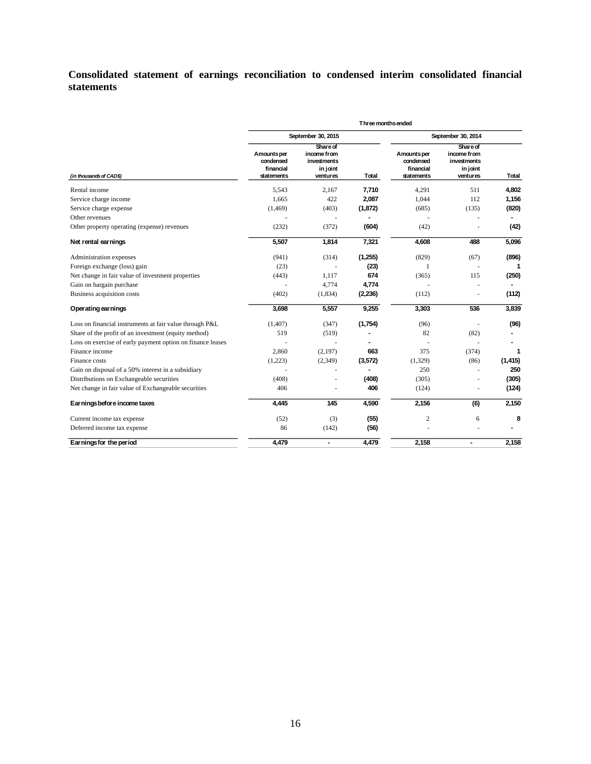### **Consolidated statement of earnings reconciliation to condensed interim consolidated financial statements**

|                                                            | Three months ended                                  |                                                                |                |                                                     |                                                                |          |  |
|------------------------------------------------------------|-----------------------------------------------------|----------------------------------------------------------------|----------------|-----------------------------------------------------|----------------------------------------------------------------|----------|--|
|                                                            |                                                     | September 30, 2015                                             |                | September 30, 2014                                  |                                                                |          |  |
| (in thousands of CAD\$)                                    | Amounts per<br>condensed<br>financial<br>statements | Share of<br>income from<br>investments<br>in joint<br>ventures | Total          | Amounts per<br>condensed<br>financial<br>statements | Share of<br>income from<br>investments<br>in joint<br>ventures | Total    |  |
| Rental income                                              | 5,543                                               | 2,167                                                          | 7,710          | 4,291                                               | 511                                                            | 4,802    |  |
| Service charge income                                      | 1,665                                               | 422                                                            | 2,087          | 1,044                                               | 112                                                            | 1,156    |  |
| Service charge expense                                     | (1, 469)                                            | (403)                                                          | (1, 872)       | (685)                                               | (135)                                                          | (820)    |  |
| Other revenues                                             |                                                     | ä,                                                             | $\overline{a}$ | Î,                                                  |                                                                |          |  |
| Other property operating (expense) revenues                | (232)                                               | (372)                                                          | (604)          | (42)                                                |                                                                | (42)     |  |
| Net rental earnings                                        | 5,507                                               | 1,814                                                          | 7,321          | 4,608                                               | 488                                                            | 5,096    |  |
| Administration expenses                                    | (941)                                               | (314)                                                          | (1,255)        | (829)                                               | (67)                                                           | (896)    |  |
| Foreign exchange (loss) gain                               | (23)                                                |                                                                | (23)           | 1                                                   | ÷.                                                             |          |  |
| Net change in fair value of investment properties          | (443)                                               | 1.117                                                          | 674            | (365)                                               | 115                                                            | (250)    |  |
| Gain on bargain purchase                                   |                                                     | 4.774                                                          | 4,774          |                                                     |                                                                |          |  |
| Business acquisition costs                                 | (402)                                               | (1,834)                                                        | (2, 236)       | (112)                                               | $\overline{\phantom{a}}$                                       | (112)    |  |
| Operating earnings                                         | 3,698                                               | 5,557                                                          | 9,255          | 3,303                                               | 536                                                            | 3,839    |  |
| Loss on financial instruments at fair value through P&L    | (1,407)                                             | (347)                                                          | (1,754)        | (96)                                                | ÷,                                                             | (96)     |  |
| Share of the profit of an investment (equity method)       | 519                                                 | (519)                                                          |                | 82                                                  | (82)                                                           |          |  |
| Loss on exercise of early payment option on finance leases |                                                     |                                                                |                |                                                     |                                                                |          |  |
| Finance income                                             | 2,860                                               | (2, 197)                                                       | 663            | 375                                                 | (374)                                                          | 1        |  |
| Finance costs                                              | (1,223)                                             | (2,349)                                                        | (3,572)        | (1,329)                                             | (86)                                                           | (1, 415) |  |
| Gain on disposal of a 50% interest in a subsidiary         |                                                     |                                                                |                | 250                                                 |                                                                | 250      |  |
| Distributions on Exchangeable securities                   | (408)                                               |                                                                | (408)          | (305)                                               |                                                                | (305)    |  |
| Net change in fair value of Exchangeable securities        | 406                                                 |                                                                | 406            | (124)                                               |                                                                | (124)    |  |
| Earnings before income taxes                               | 4,445                                               | 145                                                            | 4,590          | 2,156                                               | (6)                                                            | 2,150    |  |
| Current income tax expense                                 | (52)                                                | (3)                                                            | (55)           | $\overline{c}$                                      | 6                                                              | 8        |  |
| Deferred income tax expense                                | 86                                                  | (142)                                                          | (56)           |                                                     |                                                                |          |  |
| Earnings for the period                                    | 4,479                                               | $\blacksquare$                                                 | 4,479          | 2,158                                               | $\overline{\phantom{0}}$                                       | 2,158    |  |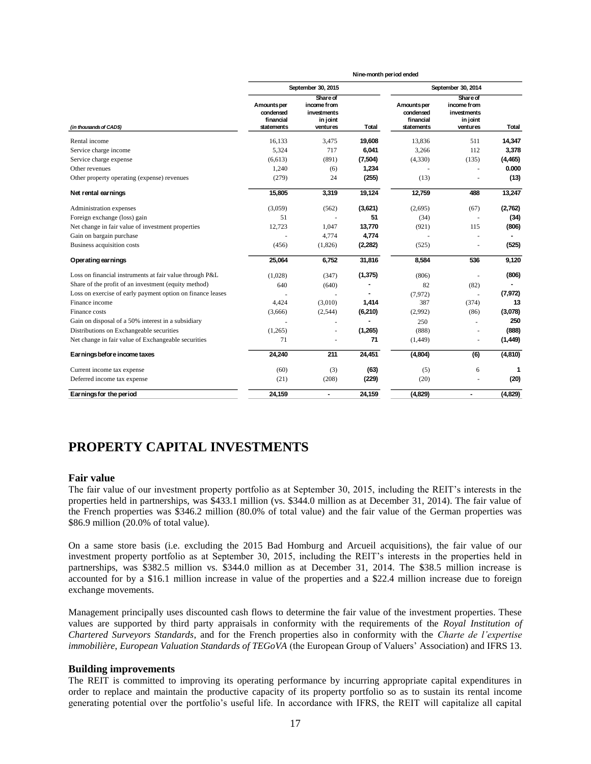|                                                            | Nine-month period ended                             |                                                                |          |                                                     |                                                                       |          |
|------------------------------------------------------------|-----------------------------------------------------|----------------------------------------------------------------|----------|-----------------------------------------------------|-----------------------------------------------------------------------|----------|
|                                                            | September 30, 2015                                  |                                                                |          | September 30, 2014                                  |                                                                       |          |
| (in thousands of CADS)                                     | Amounts per<br>condensed<br>financial<br>statements | Share of<br>income from<br>investments<br>in joint<br>ventures | Total    | Amounts per<br>condensed<br>financial<br>statements | <b>Share of</b><br>income from<br>investments<br>in joint<br>ventures | Total    |
| Rental income                                              | 16,133                                              | 3,475                                                          | 19,608   | 13,836                                              | 511                                                                   | 14,347   |
| Service charge income                                      | 5,324                                               | 717                                                            | 6,041    | 3,266                                               | 112                                                                   | 3,378    |
| Service charge expense                                     | (6,613)                                             | (891)                                                          | (7, 504) | (4,330)                                             | (135)                                                                 | (4, 465) |
| Other revenues                                             | 1,240                                               | (6)                                                            | 1,234    |                                                     | ÷,                                                                    | 0.000    |
| Other property operating (expense) revenues                | (279)                                               | 24                                                             | (255)    | (13)                                                |                                                                       | (13)     |
| Net rental earnings                                        | 15,805                                              | 3,319                                                          | 19,124   | 12,759                                              | 488                                                                   | 13,247   |
| Administration expenses                                    | (3,059)                                             | (562)                                                          | (3,621)  | (2,695)                                             | (67)                                                                  | (2,762)  |
| Foreign exchange (loss) gain                               | 51                                                  |                                                                | 51       | (34)                                                |                                                                       | (34)     |
| Net change in fair value of investment properties          | 12,723                                              | 1,047                                                          | 13,770   | (921)                                               | 115                                                                   | (806)    |
| Gain on bargain purchase                                   |                                                     | 4,774                                                          | 4,774    |                                                     | ٠                                                                     |          |
| Business acquisition costs                                 | (456)                                               | (1,826)                                                        | (2, 282) | (525)                                               | ä,                                                                    | (525)    |
| Operating earnings                                         | 25,064                                              | 6,752                                                          | 31,816   | 8,584                                               | 536                                                                   | 9,120    |
| Loss on financial instruments at fair value through P&L    | (1,028)                                             | (347)                                                          | (1, 375) | (806)                                               | ÷.                                                                    | (806)    |
| Share of the profit of an investment (equity method)       | 640                                                 | (640)                                                          |          | 82                                                  | (82)                                                                  |          |
| Loss on exercise of early payment option on finance leases |                                                     |                                                                |          | (7.972)                                             |                                                                       | (7, 972) |
| Finance income                                             | 4,424                                               | (3,010)                                                        | 1,414    | 387                                                 | (374)                                                                 | 13       |
| Finance costs                                              | (3,666)                                             | (2,544)                                                        | (6, 210) | (2,992)                                             | (86)                                                                  | (3,078)  |
| Gain on disposal of a 50% interest in a subsidiary         |                                                     |                                                                |          | 250                                                 | ÷,                                                                    | 250      |
| Distributions on Exchangeable securities                   | (1,265)                                             |                                                                | (1,265)  | (888)                                               | $\overline{a}$                                                        | (888)    |
| Net change in fair value of Exchangeable securities        | 71                                                  |                                                                | 71       | (1, 449)                                            | ä,                                                                    | (1,449)  |
| Earnings before income taxes                               | 24,240                                              | 211                                                            | 24,451   | (4,804)                                             | (6)                                                                   | (4,810)  |
| Current income tax expense                                 | (60)                                                | (3)                                                            | (63)     | (5)                                                 | 6                                                                     | 1        |
| Deferred income tax expense                                | (21)                                                | (208)                                                          | (229)    | (20)                                                |                                                                       | (20)     |
| Earnings for the period                                    | 24.159                                              | $\blacksquare$                                                 | 24.159   | (4,829)                                             | $\blacksquare$                                                        | (4,829)  |

### **PROPERTY CAPITAL INVESTMENTS**

#### **Fair value**

The fair value of our investment property portfolio as at September 30, 2015, including the REIT's interests in the properties held in partnerships, was \$433.1 million (vs. \$344.0 million as at December 31, 2014). The fair value of the French properties was \$346.2 million (80.0% of total value) and the fair value of the German properties was \$86.9 million (20.0% of total value).

On a same store basis (i.e. excluding the 2015 Bad Homburg and Arcueil acquisitions), the fair value of our investment property portfolio as at September 30, 2015, including the REIT's interests in the properties held in partnerships, was \$382.5 million vs. \$344.0 million as at December 31, 2014. The \$38.5 million increase is accounted for by a \$16.1 million increase in value of the properties and a \$22.4 million increase due to foreign exchange movements.

Management principally uses discounted cash flows to determine the fair value of the investment properties. These values are supported by third party appraisals in conformity with the requirements of the *Royal Institution of Chartered Surveyors Standards*, and for the French properties also in conformity with the *Charte de l'expertise immobilière*, *European Valuation Standards of TEGoVA* (the European Group of Valuers' Association) and IFRS 13.

#### **Building improvements**

The REIT is committed to improving its operating performance by incurring appropriate capital expenditures in order to replace and maintain the productive capacity of its property portfolio so as to sustain its rental income generating potential over the portfolio's useful life. In accordance with IFRS, the REIT will capitalize all capital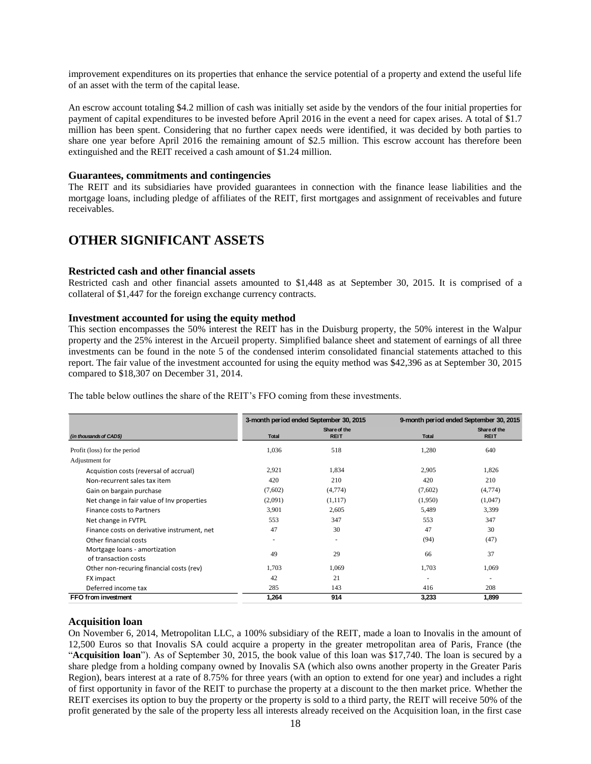improvement expenditures on its properties that enhance the service potential of a property and extend the useful life of an asset with the term of the capital lease.

An escrow account totaling \$4.2 million of cash was initially set aside by the vendors of the four initial properties for payment of capital expenditures to be invested before April 2016 in the event a need for capex arises. A total of \$1.7 million has been spent. Considering that no further capex needs were identified, it was decided by both parties to share one year before April 2016 the remaining amount of \$2.5 million. This escrow account has therefore been extinguished and the REIT received a cash amount of \$1.24 million.

#### **Guarantees, commitments and contingencies**

The REIT and its subsidiaries have provided guarantees in connection with the finance lease liabilities and the mortgage loans, including pledge of affiliates of the REIT, first mortgages and assignment of receivables and future receivables.

### **OTHER SIGNIFICANT ASSETS**

#### **Restricted cash and other financial assets**

Restricted cash and other financial assets amounted to \$1,448 as at September 30, 2015. It is comprised of a collateral of \$1,447 for the foreign exchange currency contracts.

#### **Investment accounted for using the equity method**

This section encompasses the 50% interest the REIT has in the Duisburg property, the 50% interest in the Walpur property and the 25% interest in the Arcueil property. Simplified balance sheet and statement of earnings of all three investments can be found in the note 5 of the condensed interim consolidated financial statements attached to this report. The fair value of the investment accounted for using the equity method was \$42,396 as at September 30, 2015 compared to \$18,307 on December 31, 2014.

|                                                       |                          | 3-month period ended September 30, 2015 | 9-month period ended September 30, 2015 |                             |
|-------------------------------------------------------|--------------------------|-----------------------------------------|-----------------------------------------|-----------------------------|
| (in thousands of CAD\$)                               | <b>Total</b>             | Share of the<br><b>REIT</b>             | Total                                   | Share of the<br><b>REIT</b> |
| Profit (loss) for the period                          | 1,036                    | 518                                     | 1,280                                   | 640                         |
| Adjustment for                                        |                          |                                         |                                         |                             |
| Acquistion costs (reversal of accrual)                | 2,921                    | 1,834                                   | 2,905                                   | 1,826                       |
| Non-recurrent sales tax item                          | 420                      | 210                                     | 420                                     | 210                         |
| Gain on bargain purchase                              | (7,602)                  | (4,774)                                 | (7,602)                                 | (4,774)                     |
| Net change in fair value of Inv properties            | (2,091)                  | (1,117)                                 | (1,950)                                 | (1,047)                     |
| Finance costs to Partners                             | 3,901                    | 2,605                                   | 5,489                                   | 3,399                       |
| Net change in FVTPL                                   | 553                      | 347                                     | 553                                     | 347                         |
| Finance costs on derivative instrument, net           | 47                       | 30                                      | 47                                      | 30                          |
| Other financial costs                                 | $\overline{\phantom{a}}$ | ٠                                       | (94)                                    | (47)                        |
| Mortgage loans - amortization<br>of transaction costs | 49                       | 29                                      | 66                                      | 37                          |
| Other non-recuring financial costs (rev)              | 1,703                    | 1,069                                   | 1,703                                   | 1,069                       |
| FX impact                                             | 42                       | 21                                      | ٠                                       | ٠                           |
| Deferred income tax                                   | 285                      | 143                                     | 416                                     | 208                         |
| FFO from investment                                   | 1.264                    | 914                                     | 3,233                                   | 1,899                       |

The table below outlines the share of the REIT's FFO coming from these investments.

#### **Acquisition loan**

On November 6, 2014, Metropolitan LLC, a 100% subsidiary of the REIT, made a loan to Inovalis in the amount of 12,500 Euros so that Inovalis SA could acquire a property in the greater metropolitan area of Paris, France (the "**Acquisition loan**"). As of September 30, 2015, the book value of this loan was \$17,740. The loan is secured by a share pledge from a holding company owned by Inovalis SA (which also owns another property in the Greater Paris Region), bears interest at a rate of 8.75% for three years (with an option to extend for one year) and includes a right of first opportunity in favor of the REIT to purchase the property at a discount to the then market price. Whether the REIT exercises its option to buy the property or the property is sold to a third party, the REIT will receive 50% of the profit generated by the sale of the property less all interests already received on the Acquisition loan, in the first case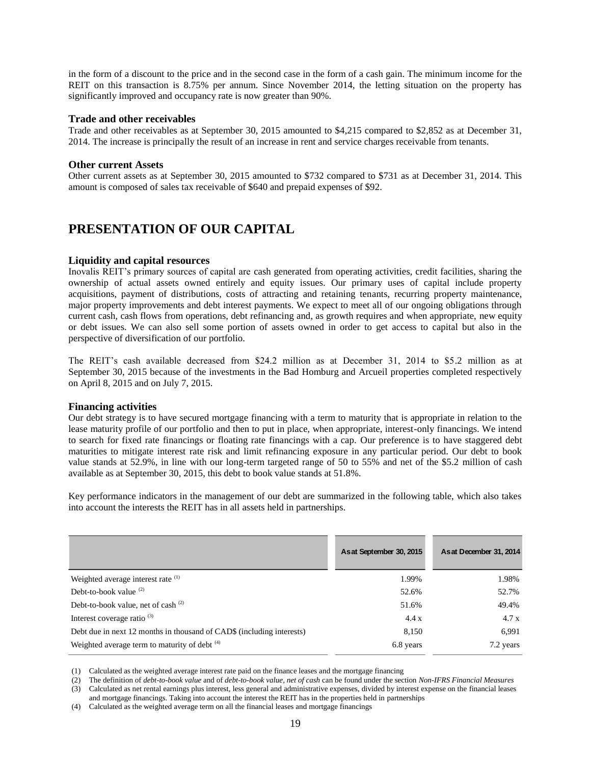in the form of a discount to the price and in the second case in the form of a cash gain. The minimum income for the REIT on this transaction is 8.75% per annum. Since November 2014, the letting situation on the property has significantly improved and occupancy rate is now greater than 90%.

#### **Trade and other receivables**

Trade and other receivables as at September 30, 2015 amounted to \$4,215 compared to \$2,852 as at December 31, 2014. The increase is principally the result of an increase in rent and service charges receivable from tenants.

#### **Other current Assets**

Other current assets as at September 30, 2015 amounted to \$732 compared to \$731 as at December 31, 2014. This amount is composed of sales tax receivable of \$640 and prepaid expenses of \$92.

### **PRESENTATION OF OUR CAPITAL**

#### **Liquidity and capital resources**

Inovalis REIT's primary sources of capital are cash generated from operating activities, credit facilities, sharing the ownership of actual assets owned entirely and equity issues. Our primary uses of capital include property acquisitions, payment of distributions, costs of attracting and retaining tenants, recurring property maintenance, major property improvements and debt interest payments. We expect to meet all of our ongoing obligations through current cash, cash flows from operations, debt refinancing and, as growth requires and when appropriate, new equity or debt issues. We can also sell some portion of assets owned in order to get access to capital but also in the perspective of diversification of our portfolio.

The REIT's cash available decreased from \$24.2 million as at December 31, 2014 to \$5.2 million as at September 30, 2015 because of the investments in the Bad Homburg and Arcueil properties completed respectively on April 8, 2015 and on July 7, 2015.

#### **Financing activities**

Our debt strategy is to have secured mortgage financing with a term to maturity that is appropriate in relation to the lease maturity profile of our portfolio and then to put in place, when appropriate, interest-only financings. We intend to search for fixed rate financings or floating rate financings with a cap. Our preference is to have staggered debt maturities to mitigate interest rate risk and limit refinancing exposure in any particular period. Our debt to book value stands at 52.9%, in line with our long-term targeted range of 50 to 55% and net of the \$5.2 million of cash available as at September 30, 2015, this debt to book value stands at 51.8%.

Key performance indicators in the management of our debt are summarized in the following table, which also takes into account the interests the REIT has in all assets held in partnerships.

|                                                                                                                                                                                                                                                                                                                                                                                                                                                                                                                                                                                                                                                                             | As at September 30, 2015 | As at December 31, 2014 |
|-----------------------------------------------------------------------------------------------------------------------------------------------------------------------------------------------------------------------------------------------------------------------------------------------------------------------------------------------------------------------------------------------------------------------------------------------------------------------------------------------------------------------------------------------------------------------------------------------------------------------------------------------------------------------------|--------------------------|-------------------------|
| Weighted average interest rate <sup>(1)</sup>                                                                                                                                                                                                                                                                                                                                                                                                                                                                                                                                                                                                                               | 1.99%                    | 1.98%                   |
| Debt-to-book value $(2)$                                                                                                                                                                                                                                                                                                                                                                                                                                                                                                                                                                                                                                                    | 52.6%                    | 52.7%                   |
| Debt-to-book value, net of cash $(2)$                                                                                                                                                                                                                                                                                                                                                                                                                                                                                                                                                                                                                                       | 51.6%                    | 49.4%                   |
| Interest coverage ratio $(3)$                                                                                                                                                                                                                                                                                                                                                                                                                                                                                                                                                                                                                                               | 4.4 x                    | 4.7x                    |
| Debt due in next 12 months in thousand of CAD\$ (including interests)                                                                                                                                                                                                                                                                                                                                                                                                                                                                                                                                                                                                       | 8,150                    | 6,991                   |
| Weighted average term to maturity of debt (4)                                                                                                                                                                                                                                                                                                                                                                                                                                                                                                                                                                                                                               | 6.8 years                | 7.2 years               |
| Calculated as the weighted average interest rate paid on the finance leases and the mortgage financing<br>(1)<br>The definition of <i>debt-to-book value</i> and of <i>debt-to-book value</i> , <i>net of cash</i> can be found under the section <i>Non-IFRS Financial Measures</i><br>(2)<br>Calculated as net rental earnings plus interest, less general and administrative expenses, divided by interest expense on the financial leases<br>(3)<br>and mortgage financings. Taking into account the interest the REIT has in the properties held in partnerships<br>Calculated as the weighted average term on all the financial leases and mortgage financings<br>(4) |                          |                         |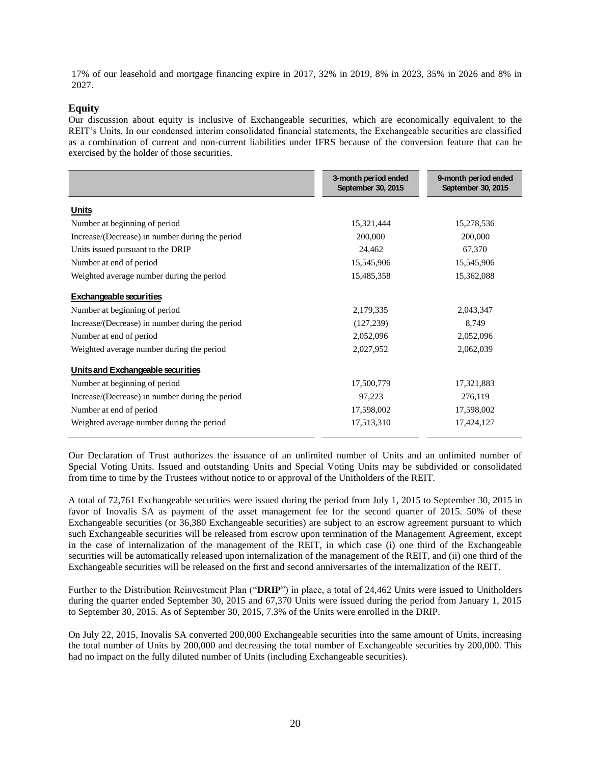17% of our leasehold and mortgage financing expire in 2017, 32% in 2019, 8% in 2023, 35% in 2026 and 8% in 2027.

#### **Equity**

Our discussion about equity is inclusive of Exchangeable securities, which are economically equivalent to the REIT's Units. In our condensed interim consolidated financial statements, the Exchangeable securities are classified as a combination of current and non-current liabilities under IFRS because of the conversion feature that can be exercised by the holder of those securities.

|                                                 | 3-month period ended<br>September 30, 2015 | 9-month period ended<br>September 30, 2015 |
|-------------------------------------------------|--------------------------------------------|--------------------------------------------|
| <b>Units</b>                                    |                                            |                                            |
| Number at beginning of period                   | 15,321,444                                 | 15,278,536                                 |
| Increase/(Decrease) in number during the period | 200,000                                    | 200,000                                    |
| Units issued pursuant to the DRIP               | 24,462                                     | 67,370                                     |
| Number at end of period                         | 15,545,906                                 | 15,545,906                                 |
| Weighted average number during the period       | 15,485,358                                 | 15,362,088                                 |
| <b>Exchangeable securities</b>                  |                                            |                                            |
| Number at beginning of period                   | 2,179,335                                  | 2,043,347                                  |
| Increase/(Decrease) in number during the period | (127, 239)                                 | 8,749                                      |
| Number at end of period                         | 2,052,096                                  | 2,052,096                                  |
| Weighted average number during the period       | 2,027,952                                  | 2,062,039                                  |
| Units and Exchangeable securities               |                                            |                                            |
| Number at beginning of period                   | 17,500,779                                 | 17,321,883                                 |
| Increase/(Decrease) in number during the period | 97,223                                     | 276,119                                    |
| Number at end of period                         | 17,598,002                                 | 17,598,002                                 |
| Weighted average number during the period       | 17,513,310                                 | 17,424,127                                 |

Our Declaration of Trust authorizes the issuance of an unlimited number of Units and an unlimited number of Special Voting Units. Issued and outstanding Units and Special Voting Units may be subdivided or consolidated from time to time by the Trustees without notice to or approval of the Unitholders of the REIT.

A total of 72,761 Exchangeable securities were issued during the period from July 1, 2015 to September 30, 2015 in favor of Inovalis SA as payment of the asset management fee for the second quarter of 2015. 50% of these Exchangeable securities (or 36,380 Exchangeable securities) are subject to an escrow agreement pursuant to which such Exchangeable securities will be released from escrow upon termination of the Management Agreement, except in the case of internalization of the management of the REIT, in which case (i) one third of the Exchangeable securities will be automatically released upon internalization of the management of the REIT, and (ii) one third of the Exchangeable securities will be released on the first and second anniversaries of the internalization of the REIT.

Further to the Distribution Reinvestment Plan ("**DRIP**") in place, a total of 24,462 Units were issued to Unitholders during the quarter ended September 30, 2015 and 67,370 Units were issued during the period from January 1, 2015 to September 30, 2015. As of September 30, 2015, 7.3% of the Units were enrolled in the DRIP.

On July 22, 2015, Inovalis SA converted 200,000 Exchangeable securities into the same amount of Units, increasing the total number of Units by 200,000 and decreasing the total number of Exchangeable securities by 200,000. This had no impact on the fully diluted number of Units (including Exchangeable securities).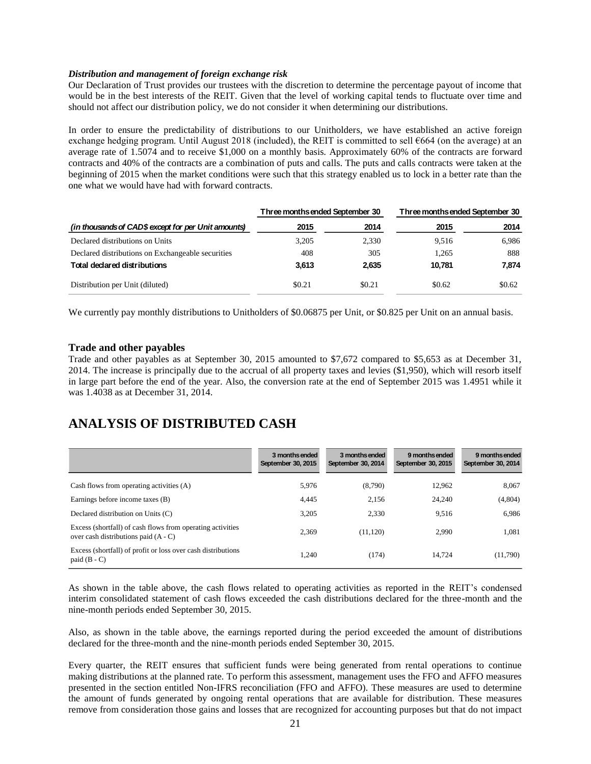#### *Distribution and management of foreign exchange risk*

Our Declaration of Trust provides our trustees with the discretion to determine the percentage payout of income that would be in the best interests of the REIT. Given that the level of working capital tends to fluctuate over time and should not affect our distribution policy, we do not consider it when determining our distributions.

In order to ensure the predictability of distributions to our Unitholders, we have established an active foreign exchange hedging program. Until August 2018 (included), the REIT is committed to sell €664 (on the average) at an average rate of 1.5074 and to receive \$1,000 on a monthly basis. Approximately 60% of the contracts are forward contracts and 40% of the contracts are a combination of puts and calls. The puts and calls contracts were taken at the beginning of 2015 when the market conditions were such that this strategy enabled us to lock in a better rate than the one what we would have had with forward contracts.

|                                                     | Three months ended September 30 |        | Three months ended September 30 |        |
|-----------------------------------------------------|---------------------------------|--------|---------------------------------|--------|
| (in thousands of CAD\$ except for per Unit amounts) | 2015                            | 2014   | 2015                            | 2014   |
| Declared distributions on Units                     | 3.205                           | 2,330  | 9.516                           | 6.986  |
| Declared distributions on Exchangeable securities   | 408                             | 305    | 1.265                           | 888    |
| <b>Total declared distributions</b>                 | 3,613                           | 2,635  | 10.781                          | 7.874  |
| Distribution per Unit (diluted)                     | \$0.21                          | \$0.21 | \$0.62                          | \$0.62 |

We currently pay monthly distributions to Unitholders of \$0.06875 per Unit, or \$0.825 per Unit on an annual basis.

#### **Trade and other payables**

Trade and other payables as at September 30, 2015 amounted to \$7,672 compared to \$5,653 as at December 31, 2014. The increase is principally due to the accrual of all property taxes and levies (\$1,950), which will resorb itself in large part before the end of the year. Also, the conversion rate at the end of September 2015 was 1.4951 while it was 1.4038 as at December 31, 2014.

### **ANALYSIS OF DISTRIBUTED CASH**

|                                                                                                      | 3 monthsended<br>September 30, 2015 | 3 months ended<br>September 30, 2014 | 9 months ended<br>September 30, 2015 | 9 months ended<br>September 30, 2014 |
|------------------------------------------------------------------------------------------------------|-------------------------------------|--------------------------------------|--------------------------------------|--------------------------------------|
| Cash flows from operating activities (A)                                                             | 5,976                               | (8,790)                              | 12.962                               | 8,067                                |
| Earnings before income taxes (B)                                                                     | 4,445                               | 2.156                                | 24.240                               | (4,804)                              |
| Declared distribution on Units (C)                                                                   | 3.205                               | 2.330                                | 9.516                                | 6.986                                |
| Excess (shortfall) of cash flows from operating activities<br>over cash distributions paid $(A - C)$ | 2.369                               | (11, 120)                            | 2.990                                | 1,081                                |
| Excess (shortfall) of profit or loss over cash distributions<br>paid $(B - C)$                       | 1.240                               | (174)                                | 14.724                               | (11,790)                             |

As shown in the table above, the cash flows related to operating activities as reported in the REIT's condensed interim consolidated statement of cash flows exceeded the cash distributions declared for the three-month and the nine-month periods ended September 30, 2015.

Also, as shown in the table above, the earnings reported during the period exceeded the amount of distributions declared for the three-month and the nine-month periods ended September 30, 2015.

Every quarter, the REIT ensures that sufficient funds were being generated from rental operations to continue making distributions at the planned rate. To perform this assessment, management uses the FFO and AFFO measures presented in the section entitled Non-IFRS reconciliation (FFO and AFFO). These measures are used to determine the amount of funds generated by ongoing rental operations that are available for distribution. These measures remove from consideration those gains and losses that are recognized for accounting purposes but that do not impact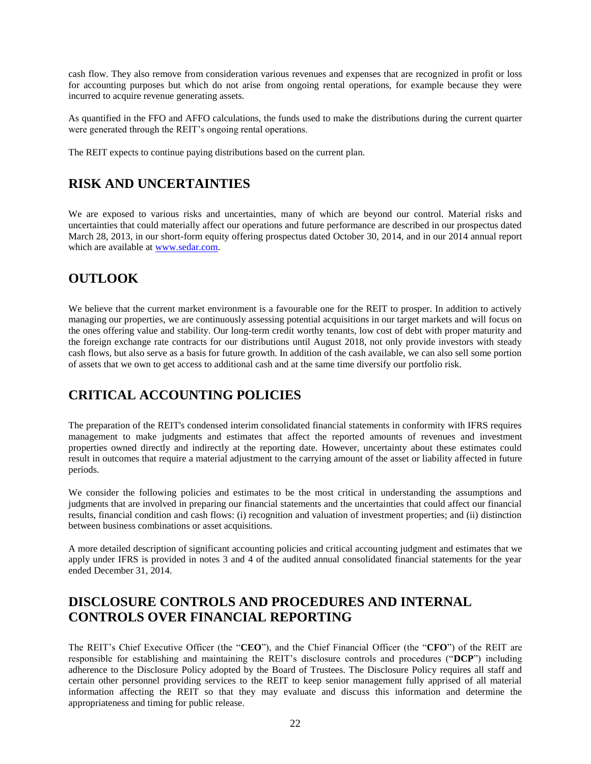cash flow. They also remove from consideration various revenues and expenses that are recognized in profit or loss for accounting purposes but which do not arise from ongoing rental operations, for example because they were incurred to acquire revenue generating assets.

As quantified in the FFO and AFFO calculations, the funds used to make the distributions during the current quarter were generated through the REIT's ongoing rental operations.

The REIT expects to continue paying distributions based on the current plan.

### **RISK AND UNCERTAINTIES**

We are exposed to various risks and uncertainties, many of which are beyond our control. Material risks and uncertainties that could materially affect our operations and future performance are described in our prospectus dated March 28, 2013, in our short-form equity offering prospectus dated October 30, 2014, and in our 2014 annual report which are available at [www.sedar.com.](http://www.sedar.com/)

### **OUTLOOK**

We believe that the current market environment is a favourable one for the REIT to prosper. In addition to actively managing our properties, we are continuously assessing potential acquisitions in our target markets and will focus on the ones offering value and stability. Our long-term credit worthy tenants, low cost of debt with proper maturity and the foreign exchange rate contracts for our distributions until August 2018, not only provide investors with steady cash flows, but also serve as a basis for future growth. In addition of the cash available, we can also sell some portion of assets that we own to get access to additional cash and at the same time diversify our portfolio risk.

# **CRITICAL ACCOUNTING POLICIES**

The preparation of the REIT's condensed interim consolidated financial statements in conformity with IFRS requires management to make judgments and estimates that affect the reported amounts of revenues and investment properties owned directly and indirectly at the reporting date. However, uncertainty about these estimates could result in outcomes that require a material adjustment to the carrying amount of the asset or liability affected in future periods.

We consider the following policies and estimates to be the most critical in understanding the assumptions and judgments that are involved in preparing our financial statements and the uncertainties that could affect our financial results, financial condition and cash flows: (i) recognition and valuation of investment properties; and (ii) distinction between business combinations or asset acquisitions.

A more detailed description of significant accounting policies and critical accounting judgment and estimates that we apply under IFRS is provided in notes 3 and 4 of the audited annual consolidated financial statements for the year ended December 31, 2014.

### **DISCLOSURE CONTROLS AND PROCEDURES AND INTERNAL CONTROLS OVER FINANCIAL REPORTING**

The REIT's Chief Executive Officer (the "**CEO**"), and the Chief Financial Officer (the "**CFO**") of the REIT are responsible for establishing and maintaining the REIT's disclosure controls and procedures ("**DCP**") including adherence to the Disclosure Policy adopted by the Board of Trustees. The Disclosure Policy requires all staff and certain other personnel providing services to the REIT to keep senior management fully apprised of all material information affecting the REIT so that they may evaluate and discuss this information and determine the appropriateness and timing for public release.